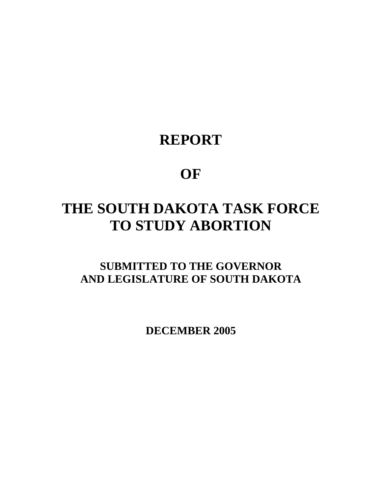# **REPORT**

# **OF**

# **THE SOUTH DAKOTA TASK FORCE TO STUDY ABORTION**

**SUBMITTED TO THE GOVERNOR AND LEGISLATURE OF SOUTH DAKOTA**

**DECEMBER 2005**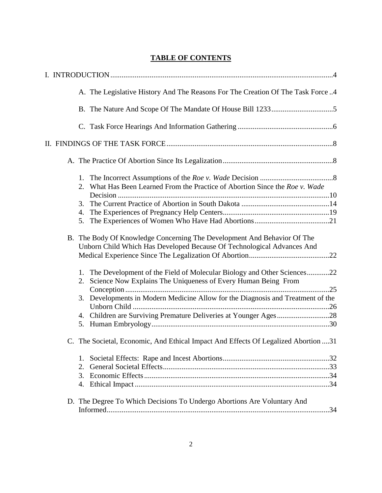# **TABLE OF CONTENTS**

|                                                                                                                                                   | A. The Legislative History And The Reasons For The Creation Of The Task Force 4                                                                                                                                                                                                                      |     |
|---------------------------------------------------------------------------------------------------------------------------------------------------|------------------------------------------------------------------------------------------------------------------------------------------------------------------------------------------------------------------------------------------------------------------------------------------------------|-----|
|                                                                                                                                                   |                                                                                                                                                                                                                                                                                                      |     |
|                                                                                                                                                   |                                                                                                                                                                                                                                                                                                      |     |
|                                                                                                                                                   |                                                                                                                                                                                                                                                                                                      |     |
|                                                                                                                                                   |                                                                                                                                                                                                                                                                                                      |     |
| 3.<br>4.                                                                                                                                          | 2. What Has Been Learned From the Practice of Abortion Since the Roe v. Wade                                                                                                                                                                                                                         |     |
| B. The Body Of Knowledge Concerning The Development And Behavior Of The<br>Unborn Child Which Has Developed Because Of Technological Advances And |                                                                                                                                                                                                                                                                                                      |     |
|                                                                                                                                                   | 1. The Development of the Field of Molecular Biology and Other Sciences22<br>2. Science Now Explains The Uniqueness of Every Human Being From<br>3. Developments in Modern Medicine Allow for the Diagnosis and Treatment of the<br>4. Children are Surviving Premature Deliveries at Younger Ages28 |     |
| 1.<br>2.<br>3.                                                                                                                                    | C. The Societal, Economic, And Ethical Impact And Effects Of Legalized Abortion 31                                                                                                                                                                                                                   |     |
|                                                                                                                                                   | D. The Degree To Which Decisions To Undergo Abortions Are Voluntary And                                                                                                                                                                                                                              | .34 |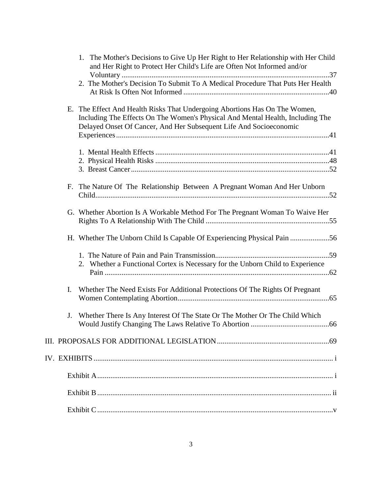|    | 1. The Mother's Decisions to Give Up Her Right to Her Relationship with Her Child<br>and Her Right to Protect Her Child's Life are Often Not Informed and/or                                                                       |
|----|------------------------------------------------------------------------------------------------------------------------------------------------------------------------------------------------------------------------------------|
|    | 2. The Mother's Decision To Submit To A Medical Procedure That Puts Her Health                                                                                                                                                     |
|    | E. The Effect And Health Risks That Undergoing Abortions Has On The Women,<br>Including The Effects On The Women's Physical And Mental Health, Including The<br>Delayed Onset Of Cancer, And Her Subsequent Life And Socioeconomic |
|    |                                                                                                                                                                                                                                    |
| F. | The Nature Of The Relationship Between A Pregnant Woman And Her Unborn                                                                                                                                                             |
|    | G. Whether Abortion Is A Workable Method For The Pregnant Woman To Waive Her                                                                                                                                                       |
|    | H. Whether The Unborn Child Is Capable Of Experiencing Physical Pain 56                                                                                                                                                            |
|    | 2. Whether a Functional Cortex is Necessary for the Unborn Child to Experience                                                                                                                                                     |
| I. | Whether The Need Exists For Additional Protections Of The Rights Of Pregnant                                                                                                                                                       |
| J. | Whether There Is Any Interest Of The State Or The Mother Or The Child Which                                                                                                                                                        |
|    |                                                                                                                                                                                                                                    |
|    |                                                                                                                                                                                                                                    |
|    |                                                                                                                                                                                                                                    |
|    |                                                                                                                                                                                                                                    |
|    |                                                                                                                                                                                                                                    |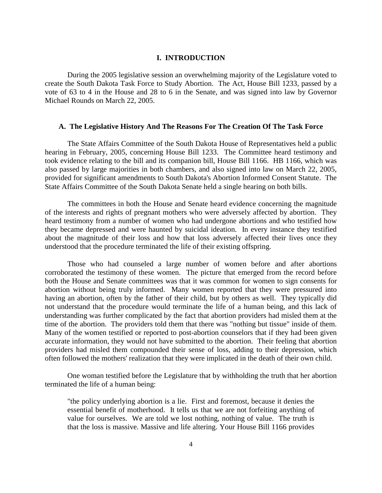#### **I. INTRODUCTION**

 During the 2005 legislative session an overwhelming majority of the Legislature voted to create the South Dakota Task Force to Study Abortion. The Act, House Bill 1233, passed by a vote of 63 to 4 in the House and 28 to 6 in the Senate, and was signed into law by Governor Michael Rounds on March 22, 2005.

#### **A. The Legislative History And The Reasons For The Creation Of The Task Force**

 The State Affairs Committee of the South Dakota House of Representatives held a public hearing in February, 2005, concerning House Bill 1233. The Committee heard testimony and took evidence relating to the bill and its companion bill, House Bill 1166. HB 1166, which was also passed by large majorities in both chambers, and also signed into law on March 22, 2005, provided for significant amendments to South Dakota's Abortion Informed Consent Statute. The State Affairs Committee of the South Dakota Senate held a single hearing on both bills.

 The committees in both the House and Senate heard evidence concerning the magnitude of the interests and rights of pregnant mothers who were adversely affected by abortion. They heard testimony from a number of women who had undergone abortions and who testified how they became depressed and were haunted by suicidal ideation. In every instance they testified about the magnitude of their loss and how that loss adversely affected their lives once they understood that the procedure terminated the life of their existing offspring.

 Those who had counseled a large number of women before and after abortions corroborated the testimony of these women. The picture that emerged from the record before both the House and Senate committees was that it was common for women to sign consents for abortion without being truly informed. Many women reported that they were pressured into having an abortion, often by the father of their child, but by others as well. They typically did not understand that the procedure would terminate the life of a human being, and this lack of understanding was further complicated by the fact that abortion providers had misled them at the time of the abortion. The providers told them that there was "nothing but tissue" inside of them. Many of the women testified or reported to post-abortion counselors that if they had been given accurate information, they would not have submitted to the abortion. Their feeling that abortion providers had misled them compounded their sense of loss, adding to their depression, which often followed the mothers' realization that they were implicated in the death of their own child.

 One woman testified before the Legislature that by withholding the truth that her abortion terminated the life of a human being:

"the policy underlying abortion is a lie. First and foremost, because it denies the essential benefit of motherhood. It tells us that we are not forfeiting anything of value for ourselves. We are told we lost nothing, nothing of value. The truth is that the loss is massive. Massive and life altering. Your House Bill 1166 provides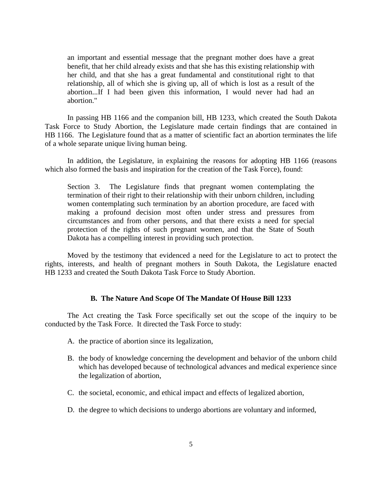an important and essential message that the pregnant mother does have a great benefit, that her child already exists and that she has this existing relationship with her child, and that she has a great fundamental and constitutional right to that relationship, all of which she is giving up, all of which is lost as a result of the abortion...If I had been given this information, I would never had had an abortion."

 In passing HB 1166 and the companion bill, HB 1233, which created the South Dakota Task Force to Study Abortion, the Legislature made certain findings that are contained in HB 1166. The Legislature found that as a matter of scientific fact an abortion terminates the life of a whole separate unique living human being.

 In addition, the Legislature, in explaining the reasons for adopting HB 1166 (reasons which also formed the basis and inspiration for the creation of the Task Force), found:

Section 3. The Legislature finds that pregnant women contemplating the termination of their right to their relationship with their unborn children, including women contemplating such termination by an abortion procedure, are faced with making a profound decision most often under stress and pressures from circumstances and from other persons, and that there exists a need for special protection of the rights of such pregnant women, and that the State of South Dakota has a compelling interest in providing such protection.

 Moved by the testimony that evidenced a need for the Legislature to act to protect the rights, interests, and health of pregnant mothers in South Dakota, the Legislature enacted HB 1233 and created the South Dakota Task Force to Study Abortion.

#### **B. The Nature And Scope Of The Mandate Of House Bill 1233**

 The Act creating the Task Force specifically set out the scope of the inquiry to be conducted by the Task Force. It directed the Task Force to study:

- A. the practice of abortion since its legalization,
- B. the body of knowledge concerning the development and behavior of the unborn child which has developed because of technological advances and medical experience since the legalization of abortion,
- C. the societal, economic, and ethical impact and effects of legalized abortion,
- D. the degree to which decisions to undergo abortions are voluntary and informed,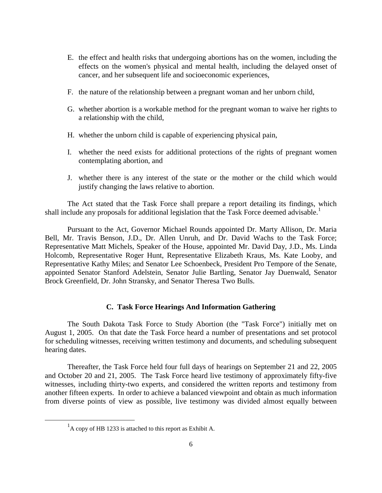- E. the effect and health risks that undergoing abortions has on the women, including the effects on the women's physical and mental health, including the delayed onset of cancer, and her subsequent life and socioeconomic experiences,
- F. the nature of the relationship between a pregnant woman and her unborn child,
- G. whether abortion is a workable method for the pregnant woman to waive her rights to a relationship with the child,
- H. whether the unborn child is capable of experiencing physical pain,
- I. whether the need exists for additional protections of the rights of pregnant women contemplating abortion, and
- J. whether there is any interest of the state or the mother or the child which would justify changing the laws relative to abortion.

 The Act stated that the Task Force shall prepare a report detailing its findings, which shall include any proposals for additional legislation that the Task Force deemed advisable.<sup>1</sup>

 Pursuant to the Act, Governor Michael Rounds appointed Dr. Marty Allison, Dr. Maria Bell, Mr. Travis Benson, J.D., Dr. Allen Unruh, and Dr. David Wachs to the Task Force; Representative Matt Michels, Speaker of the House, appointed Mr. David Day, J.D., Ms. Linda Holcomb, Representative Roger Hunt, Representative Elizabeth Kraus, Ms. Kate Looby, and Representative Kathy Miles; and Senator Lee Schoenbeck, President Pro Tempore of the Senate, appointed Senator Stanford Adelstein, Senator Julie Bartling, Senator Jay Duenwald, Senator Brock Greenfield, Dr. John Stransky, and Senator Theresa Two Bulls.

# **C. Task Force Hearings And Information Gathering**

 The South Dakota Task Force to Study Abortion (the "Task Force") initially met on August 1, 2005. On that date the Task Force heard a number of presentations and set protocol for scheduling witnesses, receiving written testimony and documents, and scheduling subsequent hearing dates.

 Thereafter, the Task Force held four full days of hearings on September 21 and 22, 2005 and October 20 and 21, 2005. The Task Force heard live testimony of approximately fifty-five witnesses, including thirty-two experts, and considered the written reports and testimony from another fifteen experts. In order to achieve a balanced viewpoint and obtain as much information from diverse points of view as possible, live testimony was divided almost equally between

 $<sup>1</sup>A$  copy of HB 1233 is attached to this report as Exhibit A.</sup>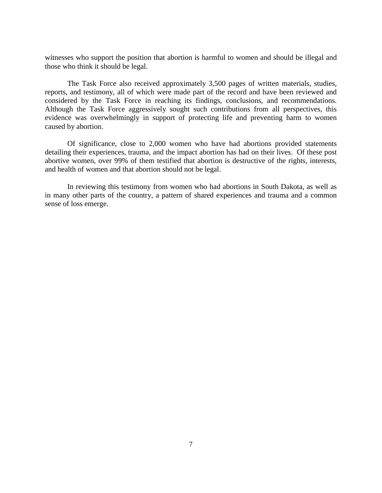witnesses who support the position that abortion is harmful to women and should be illegal and those who think it should be legal.

 The Task Force also received approximately 3,500 pages of written materials, studies, reports, and testimony, all of which were made part of the record and have been reviewed and considered by the Task Force in reaching its findings, conclusions, and recommendations. Although the Task Force aggressively sought such contributions from all perspectives, this evidence was overwhelmingly in support of protecting life and preventing harm to women caused by abortion.

 Of significance, close to 2,000 women who have had abortions provided statements detailing their experiences, trauma, and the impact abortion has had on their lives. Of these post abortive women, over 99% of them testified that abortion is destructive of the rights, interests, and health of women and that abortion should not be legal.

 In reviewing this testimony from women who had abortions in South Dakota, as well as in many other parts of the country, a pattern of shared experiences and trauma and a common sense of loss emerge.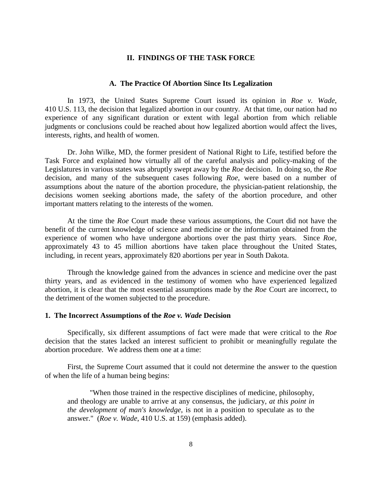#### **II. FINDINGS OF THE TASK FORCE**

#### **A. The Practice Of Abortion Since Its Legalization**

 In 1973, the United States Supreme Court issued its opinion in *Roe v. Wade*, 410 U.S. 113, the decision that legalized abortion in our country. At that time, our nation had no experience of any significant duration or extent with legal abortion from which reliable judgments or conclusions could be reached about how legalized abortion would affect the lives, interests, rights, and health of women.

 Dr. John Wilke, MD, the former president of National Right to Life, testified before the Task Force and explained how virtually all of the careful analysis and policy-making of the Legislatures in various states was abruptly swept away by the *Roe* decision. In doing so, the *Roe* decision, and many of the subsequent cases following *Roe*, were based on a number of assumptions about the nature of the abortion procedure, the physician-patient relationship, the decisions women seeking abortions made, the safety of the abortion procedure, and other important matters relating to the interests of the women.

 At the time the *Roe* Court made these various assumptions, the Court did not have the benefit of the current knowledge of science and medicine or the information obtained from the experience of women who have undergone abortions over the past thirty years. Since *Roe,* approximately 43 to 45 million abortions have taken place throughout the United States, including, in recent years, approximately 820 abortions per year in South Dakota.

 Through the knowledge gained from the advances in science and medicine over the past thirty years, and as evidenced in the testimony of women who have experienced legalized abortion, it is clear that the most essential assumptions made by the *Roe* Court are incorrect, to the detriment of the women subjected to the procedure.

#### **1. The Incorrect Assumptions of the** *Roe v. Wade* **Decision**

 Specifically, six different assumptions of fact were made that were critical to the *Roe* decision that the states lacked an interest sufficient to prohibit or meaningfully regulate the abortion procedure. We address them one at a time:

 First, the Supreme Court assumed that it could not determine the answer to the question of when the life of a human being begins:

 "When those trained in the respective disciplines of medicine, philosophy, and theology are unable to arrive at any consensus, the judiciary, *at this point in the development of man's knowledge*, is not in a position to speculate as to the answer." (*Roe v. Wade*, 410 U.S. at 159) (emphasis added).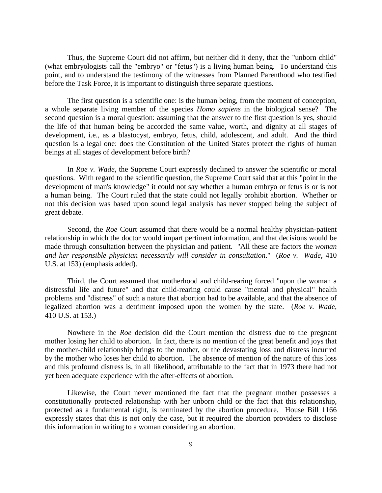Thus, the Supreme Court did not affirm, but neither did it deny, that the "unborn child" (what embryologists call the "embryo" or "fetus") is a living human being. To understand this point, and to understand the testimony of the witnesses from Planned Parenthood who testified before the Task Force, it is important to distinguish three separate questions.

 The first question is a scientific one: is the human being, from the moment of conception, a whole separate living member of the species *Homo sapiens* in the biological sense? The second question is a moral question: assuming that the answer to the first question is yes, should the life of that human being be accorded the same value, worth, and dignity at all stages of development, i.e., as a blastocyst, embryo, fetus, child, adolescent, and adult. And the third question is a legal one: does the Constitution of the United States protect the rights of human beings at all stages of development before birth?

 In *Roe v. Wade*, the Supreme Court expressly declined to answer the scientific or moral questions. With regard to the scientific question, the Supreme Court said that at this "point in the development of man's knowledge" it could not say whether a human embryo or fetus is or is not a human being. The Court ruled that the state could not legally prohibit abortion. Whether or not this decision was based upon sound legal analysis has never stopped being the subject of great debate.

 Second, the *Roe* Court assumed that there would be a normal healthy physician-patient relationship in which the doctor would impart pertinent information, and that decisions would be made through consultation between the physician and patient. "All these are factors the *woman and her responsible physician necessarily will consider in consultation*." (*Roe v. Wade*, 410 U.S. at 153) (emphasis added).

 Third, the Court assumed that motherhood and child-rearing forced "upon the woman a distressful life and future" and that child-rearing could cause "mental and physical" health problems and "distress" of such a nature that abortion had to be available, and that the absence of legalized abortion was a detriment imposed upon the women by the state. (*Roe v. Wade*, 410 U.S. at 153.)

 Nowhere in the *Roe* decision did the Court mention the distress due to the pregnant mother losing her child to abortion. In fact, there is no mention of the great benefit and joys that the mother-child relationship brings to the mother, or the devastating loss and distress incurred by the mother who loses her child to abortion. The absence of mention of the nature of this loss and this profound distress is, in all likelihood, attributable to the fact that in 1973 there had not yet been adequate experience with the after-effects of abortion.

 Likewise, the Court never mentioned the fact that the pregnant mother possesses a constitutionally protected relationship with her unborn child or the fact that this relationship, protected as a fundamental right, is terminated by the abortion procedure. House Bill 1166 expressly states that this is not only the case, but it required the abortion providers to disclose this information in writing to a woman considering an abortion.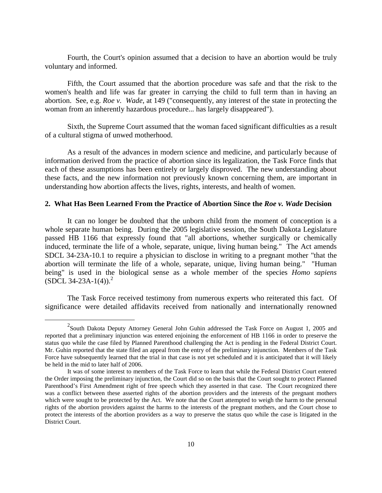Fourth, the Court's opinion assumed that a decision to have an abortion would be truly voluntary and informed.

 Fifth, the Court assumed that the abortion procedure was safe and that the risk to the women's health and life was far greater in carrying the child to full term than in having an abortion. See, e.g. *Roe v. Wade*, at 149 ("consequently, any interest of the state in protecting the woman from an inherently hazardous procedure... has largely disappeared").

 Sixth, the Supreme Court assumed that the woman faced significant difficulties as a result of a cultural stigma of unwed motherhood.

 As a result of the advances in modern science and medicine, and particularly because of information derived from the practice of abortion since its legalization, the Task Force finds that each of these assumptions has been entirely or largely disproved. The new understanding about these facts, and the new information not previously known concerning them, are important in understanding how abortion affects the lives, rights, interests, and health of women.

#### **2. What Has Been Learned From the Practice of Abortion Since the** *Roe v. Wade* **Decision**

 It can no longer be doubted that the unborn child from the moment of conception is a whole separate human being. During the 2005 legislative session, the South Dakota Legislature passed HB 1166 that expressly found that "all abortions, whether surgically or chemically induced, terminate the life of a whole, separate, unique, living human being." The Act amends SDCL 34-23A-10.1 to require a physician to disclose in writing to a pregnant mother "that the abortion will terminate the life of a whole, separate, unique, living human being." "Human being" is used in the biological sense as a whole member of the species *Homo sapiens*  $(SDCL 34-23A-1(4))$ <sup>2</sup>

 The Task Force received testimony from numerous experts who reiterated this fact. Of significance were detailed affidavits received from nationally and internationally renowned

 $2$ South Dakota Deputy Attorney General John Guhin addressed the Task Force on August 1, 2005 and reported that a preliminary injunction was entered enjoining the enforcement of HB 1166 in order to preserve the status quo while the case filed by Planned Parenthood challenging the Act is pending in the Federal District Court. Mr. Guhin reported that the state filed an appeal from the entry of the preliminary injunction. Members of the Task Force have subsequently learned that the trial in that case is not yet scheduled and it is anticipated that it will likely be held in the mid to later half of 2006.

It was of some interest to members of the Task Force to learn that while the Federal District Court entered the Order imposing the preliminary injunction, the Court did so on the basis that the Court sought to protect Planned Parenthood's First Amendment right of free speech which they asserted in that case. The Court recognized there was a conflict between these asserted rights of the abortion providers and the interests of the pregnant mothers which were sought to be protected by the Act. We note that the Court attempted to weigh the harm to the personal rights of the abortion providers against the harms to the interests of the pregnant mothers, and the Court chose to protect the interests of the abortion providers as a way to preserve the status quo while the case is litigated in the District Court.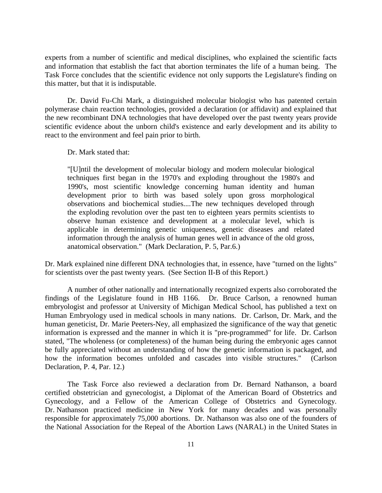experts from a number of scientific and medical disciplines, who explained the scientific facts and information that establish the fact that abortion terminates the life of a human being. The Task Force concludes that the scientific evidence not only supports the Legislature's finding on this matter, but that it is indisputable.

 Dr. David Fu-Chi Mark, a distinguished molecular biologist who has patented certain polymerase chain reaction technologies, provided a declaration (or affidavit) and explained that the new recombinant DNA technologies that have developed over the past twenty years provide scientific evidence about the unborn child's existence and early development and its ability to react to the environment and feel pain prior to birth.

Dr. Mark stated that:

"[U]ntil the development of molecular biology and modern molecular biological techniques first began in the 1970's and exploding throughout the 1980's and 1990's, most scientific knowledge concerning human identity and human development prior to birth was based solely upon gross morphological observations and biochemical studies....The new techniques developed through the exploding revolution over the past ten to eighteen years permits scientists to observe human existence and development at a molecular level, which is applicable in determining genetic uniqueness, genetic diseases and related information through the analysis of human genes well in advance of the old gross, anatomical observation." (Mark Declaration, P. 5, Par.6.)

Dr. Mark explained nine different DNA technologies that, in essence, have "turned on the lights" for scientists over the past twenty years. (See Section II-B of this Report.)

 A number of other nationally and internationally recognized experts also corroborated the findings of the Legislature found in HB 1166. Dr. Bruce Carlson, a renowned human embryologist and professor at University of Michigan Medical School, has published a text on Human Embryology used in medical schools in many nations. Dr. Carlson, Dr. Mark, and the human geneticist, Dr. Marie Peeters-Ney, all emphasized the significance of the way that genetic information is expressed and the manner in which it is "pre-programmed" for life. Dr. Carlson stated, "The wholeness (or completeness) of the human being during the embryonic ages cannot be fully appreciated without an understanding of how the genetic information is packaged, and how the information becomes unfolded and cascades into visible structures." (Carlson Declaration, P. 4, Par. 12.)

 The Task Force also reviewed a declaration from Dr. Bernard Nathanson, a board certified obstetrician and gynecologist, a Diplomat of the American Board of Obstetrics and Gynecology, and a Fellow of the American College of Obstetrics and Gynecology. Dr. Nathanson practiced medicine in New York for many decades and was personally responsible for approximately 75,000 abortions. Dr. Nathanson was also one of the founders of the National Association for the Repeal of the Abortion Laws (NARAL) in the United States in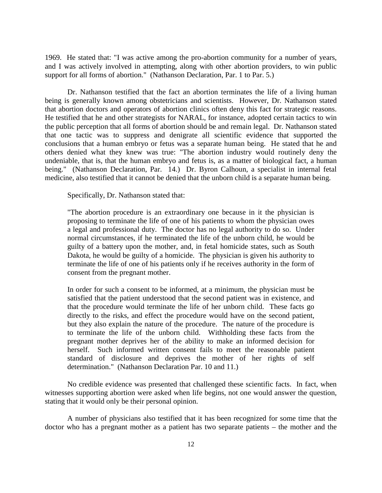1969. He stated that: "I was active among the pro-abortion community for a number of years, and I was actively involved in attempting, along with other abortion providers, to win public support for all forms of abortion." (Nathanson Declaration, Par. 1 to Par. 5.)

 Dr. Nathanson testified that the fact an abortion terminates the life of a living human being is generally known among obstetricians and scientists. However, Dr. Nathanson stated that abortion doctors and operators of abortion clinics often deny this fact for strategic reasons. He testified that he and other strategists for NARAL, for instance, adopted certain tactics to win the public perception that all forms of abortion should be and remain legal. Dr. Nathanson stated that one tactic was to suppress and denigrate all scientific evidence that supported the conclusions that a human embryo or fetus was a separate human being. He stated that he and others denied what they knew was true: "The abortion industry would routinely deny the undeniable, that is, that the human embryo and fetus is, as a matter of biological fact, a human being." (Nathanson Declaration, Par. 14.) Dr. Byron Calhoun, a specialist in internal fetal medicine, also testified that it cannot be denied that the unborn child is a separate human being.

Specifically, Dr. Nathanson stated that:

"The abortion procedure is an extraordinary one because in it the physician is proposing to terminate the life of one of his patients to whom the physician owes a legal and professional duty. The doctor has no legal authority to do so. Under normal circumstances, if he terminated the life of the unborn child, he would be guilty of a battery upon the mother, and, in fetal homicide states, such as South Dakota, he would be guilty of a homicide. The physician is given his authority to terminate the life of one of his patients only if he receives authority in the form of consent from the pregnant mother.

In order for such a consent to be informed, at a minimum, the physician must be satisfied that the patient understood that the second patient was in existence, and that the procedure would terminate the life of her unborn child. These facts go directly to the risks, and effect the procedure would have on the second patient, but they also explain the nature of the procedure. The nature of the procedure is to terminate the life of the unborn child. Withholding these facts from the pregnant mother deprives her of the ability to make an informed decision for herself. Such informed written consent fails to meet the reasonable patient standard of disclosure and deprives the mother of her rights of self determination." (Nathanson Declaration Par. 10 and 11.)

 No credible evidence was presented that challenged these scientific facts. In fact, when witnesses supporting abortion were asked when life begins, not one would answer the question, stating that it would only be their personal opinion.

 A number of physicians also testified that it has been recognized for some time that the doctor who has a pregnant mother as a patient has two separate patients – the mother and the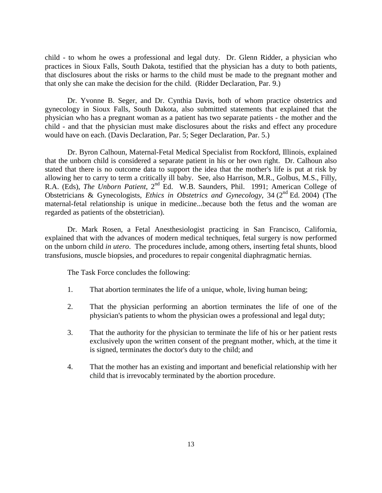child - to whom he owes a professional and legal duty. Dr. Glenn Ridder, a physician who practices in Sioux Falls, South Dakota, testified that the physician has a duty to both patients, that disclosures about the risks or harms to the child must be made to the pregnant mother and that only she can make the decision for the child. (Ridder Declaration, Par. 9.)

 Dr. Yvonne B. Seger, and Dr. Cynthia Davis, both of whom practice obstetrics and gynecology in Sioux Falls, South Dakota, also submitted statements that explained that the physician who has a pregnant woman as a patient has two separate patients - the mother and the child - and that the physician must make disclosures about the risks and effect any procedure would have on each. (Davis Declaration, Par. 5; Seger Declaration, Par. 5.)

 Dr. Byron Calhoun, Maternal-Fetal Medical Specialist from Rockford, Illinois, explained that the unborn child is considered a separate patient in his or her own right. Dr. Calhoun also stated that there is no outcome data to support the idea that the mother's life is put at risk by allowing her to carry to term a critically ill baby. See, also Harrison, M.R., Golbus, M.S., Filly, R.A. (Eds), *The Unborn Patient*, 2nd Ed. W.B. Saunders, Phil. 1991; American College of Obstetricians & Gynecologists, *Ethics in Obstetrics and Gynecology*, 34 (2nd Ed. 2004) (The maternal-fetal relationship is unique in medicine...because both the fetus and the woman are regarded as patients of the obstetrician).

 Dr. Mark Rosen, a Fetal Anesthesiologist practicing in San Francisco, California, explained that with the advances of modern medical techniques, fetal surgery is now performed on the unborn child *in utero*. The procedures include, among others, inserting fetal shunts, blood transfusions, muscle biopsies, and procedures to repair congenital diaphragmatic hernias.

The Task Force concludes the following:

- 1. That abortion terminates the life of a unique, whole, living human being;
- 2. That the physician performing an abortion terminates the life of one of the physician's patients to whom the physician owes a professional and legal duty;
- 3. That the authority for the physician to terminate the life of his or her patient rests exclusively upon the written consent of the pregnant mother, which, at the time it is signed, terminates the doctor's duty to the child; and
- 4. That the mother has an existing and important and beneficial relationship with her child that is irrevocably terminated by the abortion procedure.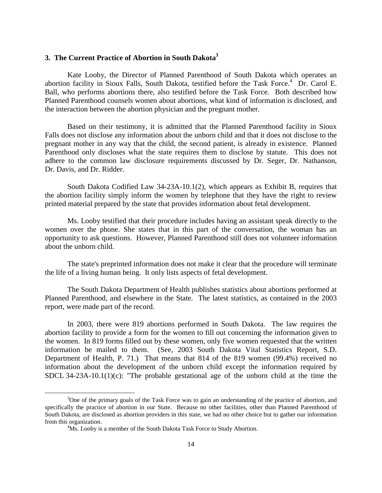# **3. The Current Practice of Abortion in South Dakota3**

 Kate Looby, the Director of Planned Parenthood of South Dakota which operates an abortion facility in Sioux Falls, South Dakota, testified before the Task Force.<sup>4</sup> Dr. Carol E. Ball, who performs abortions there, also testified before the Task Force. Both described how Planned Parenthood counsels women about abortions, what kind of information is disclosed, and the interaction between the abortion physician and the pregnant mother.

 Based on their testimony, it is admitted that the Planned Parenthood facility in Sioux Falls does not disclose any information about the unborn child and that it does not disclose to the pregnant mother in any way that the child, the second patient, is already in existence. Planned Parenthood only discloses what the state requires them to disclose by statute. This does not adhere to the common law disclosure requirements discussed by Dr. Seger, Dr. Nathanson, Dr. Davis, and Dr. Ridder.

 South Dakota Codified Law 34-23A-10.1(2), which appears as Exhibit B, requires that the abortion facility simply inform the women by telephone that they have the right to review printed material prepared by the state that provides information about fetal development.

 Ms. Looby testified that their procedure includes having an assistant speak directly to the women over the phone. She states that in this part of the conversation, the woman has an opportunity to ask questions. However, Planned Parenthood still does not volunteer information about the unborn child.

The state's preprinted information does not make it clear that the procedure will terminate the life of a living human being. It only lists aspects of fetal development.

 The South Dakota Department of Health publishes statistics about abortions performed at Planned Parenthood, and elsewhere in the State. The latest statistics, as contained in the 2003 report, were made part of the record.

 In 2003, there were 819 abortions performed in South Dakota. The law requires the abortion facility to provide a form for the women to fill out concerning the information given to the women. In 819 forms filled out by these women, only five women requested that the written information be mailed to them. (See, 2003 South Dakota Vital Statistics Report, S.D. Department of Health, P. 71.) That means that 814 of the 819 women (99.4%) received no information about the development of the unborn child except the information required by SDCL 34-23A-10.1(1)(c): "The probable gestational age of the unborn child at the time the

<sup>&</sup>lt;sup>3</sup>One of the primary goals of the Task Force was to gain an understanding of the practice of abortion, and specifically the practice of abortion in our State. Because no other facilities, other than Planned Parenthood of South Dakota, are disclosed as abortion providers in this state, we had no other choice but to gather our information from this organization. 4

<sup>&</sup>lt;sup>4</sup>Ms. Looby is a member of the South Dakota Task Force to Study Abortion.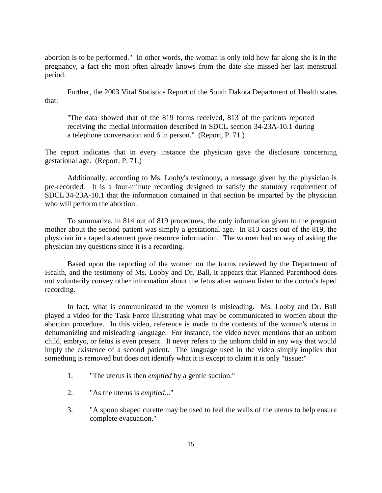abortion is to be performed." In other words, the woman is only told how far along she is in the pregnancy, a fact she most often already knows from the date she missed her last menstrual period.

 Further, the 2003 Vital Statistics Report of the South Dakota Department of Health states that:

"The data showed that of the 819 forms received, 813 of the patients reported receiving the medial information described in SDCL section 34-23A-10.1 during a telephone conversation and 6 in person." (Report, P. 71.)

The report indicates that in every instance the physician gave the disclosure concerning gestational age. (Report, P. 71.)

 Additionally, according to Ms. Looby's testimony, a message given by the physician is pre-recorded. It is a four-minute recording designed to satisfy the statutory requirement of SDCL 34-23A-10.1 that the information contained in that section be imparted by the physician who will perform the abortion.

 To summarize, in 814 out of 819 procedures, the only information given to the pregnant mother about the second patient was simply a gestational age. In 813 cases out of the 819, the physician in a taped statement gave resource information. The women had no way of asking the physician any questions since it is a recording.

 Based upon the reporting of the women on the forms reviewed by the Department of Health, and the testimony of Ms. Looby and Dr. Ball, it appears that Planned Parenthood does not voluntarily convey other information about the fetus after women listen to the doctor's taped recording.

 In fact, what is communicated to the women is misleading. Ms. Looby and Dr. Ball played a video for the Task Force illustrating what may be communicated to women about the abortion procedure. In this video, reference is made to the contents of the woman's uterus in dehumanizing and misleading language. For instance, the video never mentions that an unborn child, embryo, or fetus is even present. It never refers to the unborn child in any way that would imply the existence of a second patient. The language used in the video simply implies that something is removed but does not identify what it is except to claim it is only "tissue:"

- 1. "The uterus is then *emptied* by a gentle suction."
- 2. "As the uterus is *emptied*..."
- 3. "A spoon shaped curette may be used to feel the walls of the uterus to help ensure complete evacuation."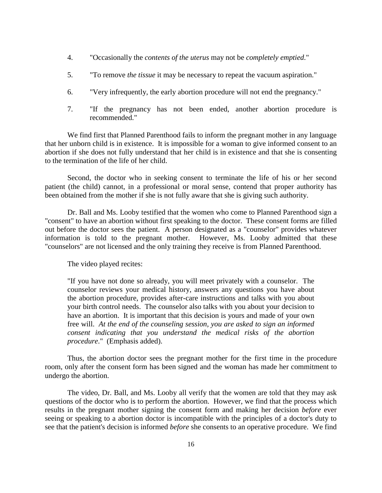- 4. "Occasionally the *contents of the uterus* may not be *completely emptied*."
- 5. "To remove *the tissue* it may be necessary to repeat the vacuum aspiration."
- 6. "Very infrequently, the early abortion procedure will not end the pregnancy."
- 7. "If the pregnancy has not been ended, another abortion procedure is recommended."

 We find first that Planned Parenthood fails to inform the pregnant mother in any language that her unborn child is in existence. It is impossible for a woman to give informed consent to an abortion if she does not fully understand that her child is in existence and that she is consenting to the termination of the life of her child.

 Second, the doctor who in seeking consent to terminate the life of his or her second patient (the child) cannot, in a professional or moral sense, contend that proper authority has been obtained from the mother if she is not fully aware that she is giving such authority.

 Dr. Ball and Ms. Looby testified that the women who come to Planned Parenthood sign a "consent" to have an abortion without first speaking to the doctor. These consent forms are filled out before the doctor sees the patient. A person designated as a "counselor" provides whatever information is told to the pregnant mother. However, Ms. Looby admitted that these "counselors" are not licensed and the only training they receive is from Planned Parenthood.

The video played recites:

"If you have not done so already, you will meet privately with a counselor. The counselor reviews your medical history, answers any questions you have about the abortion procedure, provides after-care instructions and talks with you about your birth control needs. The counselor also talks with you about your decision to have an abortion. It is important that this decision is yours and made of your own free will. *At the end of the counseling session, you are asked to sign an informed consent indicating that you understand the medical risks of the abortion procedure*." (Emphasis added).

 Thus, the abortion doctor sees the pregnant mother for the first time in the procedure room, only after the consent form has been signed and the woman has made her commitment to undergo the abortion.

 The video, Dr. Ball, and Ms. Looby all verify that the women are told that they may ask questions of the doctor who is to perform the abortion. However, we find that the process which results in the pregnant mother signing the consent form and making her decision *before* ever seeing or speaking to a abortion doctor is incompatible with the principles of a doctor's duty to see that the patient's decision is informed *before* she consents to an operative procedure. We find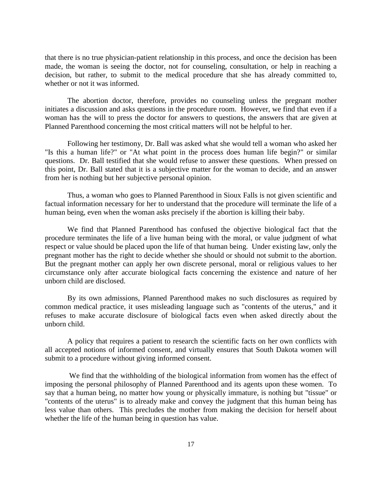that there is no true physician-patient relationship in this process, and once the decision has been made, the woman is seeing the doctor, not for counseling, consultation, or help in reaching a decision, but rather, to submit to the medical procedure that she has already committed to, whether or not it was informed.

 The abortion doctor, therefore, provides no counseling unless the pregnant mother initiates a discussion and asks questions in the procedure room. However, we find that even if a woman has the will to press the doctor for answers to questions, the answers that are given at Planned Parenthood concerning the most critical matters will not be helpful to her.

 Following her testimony, Dr. Ball was asked what she would tell a woman who asked her "Is this a human life?" or "At what point in the process does human life begin?" or similar questions. Dr. Ball testified that she would refuse to answer these questions. When pressed on this point, Dr. Ball stated that it is a subjective matter for the woman to decide, and an answer from her is nothing but her subjective personal opinion.

 Thus, a woman who goes to Planned Parenthood in Sioux Falls is not given scientific and factual information necessary for her to understand that the procedure will terminate the life of a human being, even when the woman asks precisely if the abortion is killing their baby.

 We find that Planned Parenthood has confused the objective biological fact that the procedure terminates the life of a live human being with the moral, or value judgment of what respect or value should be placed upon the life of that human being. Under existing law, only the pregnant mother has the right to decide whether she should or should not submit to the abortion. But the pregnant mother can apply her own discrete personal, moral or religious values to her circumstance only after accurate biological facts concerning the existence and nature of her unborn child are disclosed.

 By its own admissions, Planned Parenthood makes no such disclosures as required by common medical practice, it uses misleading language such as "contents of the uterus," and it refuses to make accurate disclosure of biological facts even when asked directly about the unborn child.

 A policy that requires a patient to research the scientific facts on her own conflicts with all accepted notions of informed consent, and virtually ensures that South Dakota women will submit to a procedure without giving informed consent.

 We find that the withholding of the biological information from women has the effect of imposing the personal philosophy of Planned Parenthood and its agents upon these women. To say that a human being, no matter how young or physically immature, is nothing but "tissue" or "contents of the uterus" is to already make and convey the judgment that this human being has less value than others. This precludes the mother from making the decision for herself about whether the life of the human being in question has value.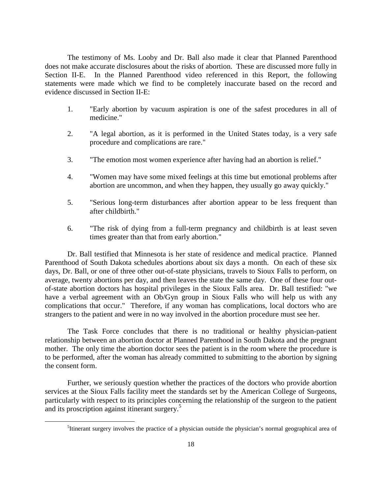The testimony of Ms. Looby and Dr. Ball also made it clear that Planned Parenthood does not make accurate disclosures about the risks of abortion. These are discussed more fully in Section II-E. In the Planned Parenthood video referenced in this Report, the following statements were made which we find to be completely inaccurate based on the record and evidence discussed in Section II-E:

- 1. "Early abortion by vacuum aspiration is one of the safest procedures in all of medicine."
- 2. "A legal abortion, as it is performed in the United States today, is a very safe procedure and complications are rare."
- 3. "The emotion most women experience after having had an abortion is relief."
- 4. "Women may have some mixed feelings at this time but emotional problems after abortion are uncommon, and when they happen, they usually go away quickly."
- 5. "Serious long-term disturbances after abortion appear to be less frequent than after childbirth."
- 6. "The risk of dying from a full-term pregnancy and childbirth is at least seven times greater than that from early abortion."

 Dr. Ball testified that Minnesota is her state of residence and medical practice. Planned Parenthood of South Dakota schedules abortions about six days a month. On each of these six days, Dr. Ball, or one of three other out-of-state physicians, travels to Sioux Falls to perform, on average, twenty abortions per day, and then leaves the state the same day. One of these four outof-state abortion doctors has hospital privileges in the Sioux Falls area. Dr. Ball testified: "we have a verbal agreement with an Ob/Gyn group in Sioux Falls who will help us with any complications that occur." Therefore, if any woman has complications, local doctors who are strangers to the patient and were in no way involved in the abortion procedure must see her.

 The Task Force concludes that there is no traditional or healthy physician-patient relationship between an abortion doctor at Planned Parenthood in South Dakota and the pregnant mother. The only time the abortion doctor sees the patient is in the room where the procedure is to be performed, after the woman has already committed to submitting to the abortion by signing the consent form.

 Further, we seriously question whether the practices of the doctors who provide abortion services at the Sioux Falls facility meet the standards set by the American College of Surgeons, particularly with respect to its principles concerning the relationship of the surgeon to the patient and its proscription against itinerant surgery.<sup>5</sup>

<sup>&</sup>lt;sup>5</sup>Itinerant surgery involves the practice of a physician outside the physician's normal geographical area of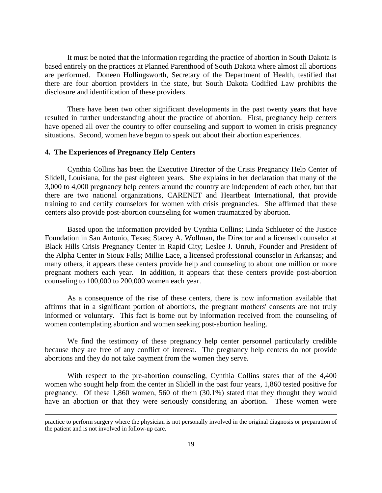It must be noted that the information regarding the practice of abortion in South Dakota is based entirely on the practices at Planned Parenthood of South Dakota where almost all abortions are performed. Doneen Hollingsworth, Secretary of the Department of Health, testified that there are four abortion providers in the state, but South Dakota Codified Law prohibits the disclosure and identification of these providers.

 There have been two other significant developments in the past twenty years that have resulted in further understanding about the practice of abortion. First, pregnancy help centers have opened all over the country to offer counseling and support to women in crisis pregnancy situations. Second, women have begun to speak out about their abortion experiences.

#### **4. The Experiences of Pregnancy Help Centers**

 Cynthia Collins has been the Executive Director of the Crisis Pregnancy Help Center of Slidell, Louisiana, for the past eighteen years. She explains in her declaration that many of the 3,000 to 4,000 pregnancy help centers around the country are independent of each other, but that there are two national organizations, CARENET and Heartbeat International, that provide training to and certify counselors for women with crisis pregnancies. She affirmed that these centers also provide post-abortion counseling for women traumatized by abortion.

 Based upon the information provided by Cynthia Collins; Linda Schlueter of the Justice Foundation in San Antonio, Texas; Stacey A. Wollman, the Director and a licensed counselor at Black Hills Crisis Pregnancy Center in Rapid City; Leslee J. Unruh, Founder and President of the Alpha Center in Sioux Falls; Millie Lace, a licensed professional counselor in Arkansas; and many others, it appears these centers provide help and counseling to about one million or more pregnant mothers each year. In addition, it appears that these centers provide post-abortion counseling to 100,000 to 200,000 women each year.

 As a consequence of the rise of these centers, there is now information available that affirms that in a significant portion of abortions, the pregnant mothers' consents are not truly informed or voluntary. This fact is borne out by information received from the counseling of women contemplating abortion and women seeking post-abortion healing.

 We find the testimony of these pregnancy help center personnel particularly credible because they are free of any conflict of interest. The pregnancy help centers do not provide abortions and they do not take payment from the women they serve.

 With respect to the pre-abortion counseling, Cynthia Collins states that of the 4,400 women who sought help from the center in Slidell in the past four years, 1,860 tested positive for pregnancy. Of these 1,860 women, 560 of them (30.1%) stated that they thought they would have an abortion or that they were seriously considering an abortion. These women were

practice to perform surgery where the physician is not personally involved in the original diagnosis or preparation of the patient and is not involved in follow-up care.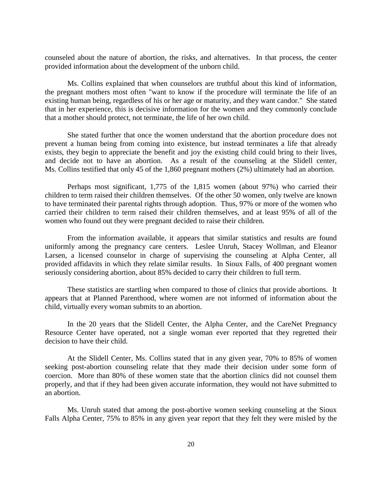counseled about the nature of abortion, the risks, and alternatives. In that process, the center provided information about the development of the unborn child.

 Ms. Collins explained that when counselors are truthful about this kind of information, the pregnant mothers most often "want to know if the procedure will terminate the life of an existing human being, regardless of his or her age or maturity, and they want candor." She stated that in her experience, this is decisive information for the women and they commonly conclude that a mother should protect, not terminate, the life of her own child.

 She stated further that once the women understand that the abortion procedure does not prevent a human being from coming into existence, but instead terminates a life that already exists, they begin to appreciate the benefit and joy the existing child could bring to their lives, and decide not to have an abortion. As a result of the counseling at the Slidell center, Ms. Collins testified that only 45 of the 1,860 pregnant mothers (2%) ultimately had an abortion.

 Perhaps most significant, 1,775 of the 1,815 women (about 97%) who carried their children to term raised their children themselves. Of the other 50 women, only twelve are known to have terminated their parental rights through adoption. Thus, 97% or more of the women who carried their children to term raised their children themselves, and at least 95% of all of the women who found out they were pregnant decided to raise their children.

 From the information available, it appears that similar statistics and results are found uniformly among the pregnancy care centers. Leslee Unruh, Stacey Wollman, and Eleanor Larsen, a licensed counselor in charge of supervising the counseling at Alpha Center, all provided affidavits in which they relate similar results. In Sioux Falls, of 400 pregnant women seriously considering abortion, about 85% decided to carry their children to full term.

 These statistics are startling when compared to those of clinics that provide abortions. It appears that at Planned Parenthood, where women are not informed of information about the child, virtually every woman submits to an abortion.

 In the 20 years that the Slidell Center, the Alpha Center, and the CareNet Pregnancy Resource Center have operated, not a single woman ever reported that they regretted their decision to have their child.

 At the Slidell Center, Ms. Collins stated that in any given year, 70% to 85% of women seeking post-abortion counseling relate that they made their decision under some form of coercion. More than 80% of these women state that the abortion clinics did not counsel them properly, and that if they had been given accurate information, they would not have submitted to an abortion.

 Ms. Unruh stated that among the post-abortive women seeking counseling at the Sioux Falls Alpha Center, 75% to 85% in any given year report that they felt they were misled by the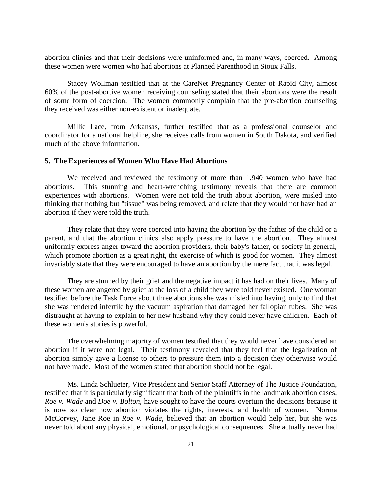abortion clinics and that their decisions were uninformed and, in many ways, coerced. Among these women were women who had abortions at Planned Parenthood in Sioux Falls.

 Stacey Wollman testified that at the CareNet Pregnancy Center of Rapid City, almost 60% of the post-abortive women receiving counseling stated that their abortions were the result of some form of coercion. The women commonly complain that the pre-abortion counseling they received was either non-existent or inadequate.

 Millie Lace, from Arkansas, further testified that as a professional counselor and coordinator for a national helpline, she receives calls from women in South Dakota, and verified much of the above information.

#### **5. The Experiences of Women Who Have Had Abortions**

 We received and reviewed the testimony of more than 1,940 women who have had abortions. This stunning and heart-wrenching testimony reveals that there are common experiences with abortions. Women were not told the truth about abortion, were misled into thinking that nothing but "tissue" was being removed, and relate that they would not have had an abortion if they were told the truth.

 They relate that they were coerced into having the abortion by the father of the child or a parent, and that the abortion clinics also apply pressure to have the abortion. They almost uniformly express anger toward the abortion providers, their baby's father, or society in general, which promote abortion as a great right, the exercise of which is good for women. They almost invariably state that they were encouraged to have an abortion by the mere fact that it was legal.

 They are stunned by their grief and the negative impact it has had on their lives. Many of these women are angered by grief at the loss of a child they were told never existed. One woman testified before the Task Force about three abortions she was misled into having, only to find that she was rendered infertile by the vacuum aspiration that damaged her fallopian tubes. She was distraught at having to explain to her new husband why they could never have children. Each of these women's stories is powerful.

 The overwhelming majority of women testified that they would never have considered an abortion if it were not legal. Their testimony revealed that they feel that the legalization of abortion simply gave a license to others to pressure them into a decision they otherwise would not have made. Most of the women stated that abortion should not be legal.

 Ms. Linda Schlueter, Vice President and Senior Staff Attorney of The Justice Foundation, testified that it is particularly significant that both of the plaintiffs in the landmark abortion cases, *Roe v. Wade* and *Doe v. Bolton,* have sought to have the courts overturn the decisions because it is now so clear how abortion violates the rights, interests, and health of women. Norma McCorvey, Jane Roe in *Roe v. Wade*, believed that an abortion would help her, but she was never told about any physical, emotional, or psychological consequences. She actually never had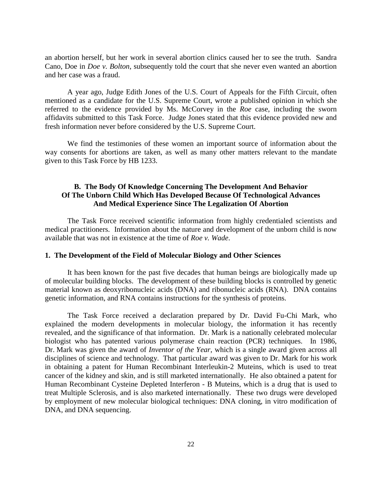an abortion herself, but her work in several abortion clinics caused her to see the truth. Sandra Cano, Doe in *Doe v. Bolton*, subsequently told the court that she never even wanted an abortion and her case was a fraud.

 A year ago, Judge Edith Jones of the U.S. Court of Appeals for the Fifth Circuit, often mentioned as a candidate for the U.S. Supreme Court, wrote a published opinion in which she referred to the evidence provided by Ms. McCorvey in the *Roe* case, including the sworn affidavits submitted to this Task Force. Judge Jones stated that this evidence provided new and fresh information never before considered by the U.S. Supreme Court.

 We find the testimonies of these women an important source of information about the way consents for abortions are taken, as well as many other matters relevant to the mandate given to this Task Force by HB 1233.

# **B. The Body Of Knowledge Concerning The Development And Behavior Of The Unborn Child Which Has Developed Because Of Technological Advances And Medical Experience Since The Legalization Of Abortion**

 The Task Force received scientific information from highly credentialed scientists and medical practitioners. Information about the nature and development of the unborn child is now available that was not in existence at the time of *Roe v. Wade*.

#### **1. The Development of the Field of Molecular Biology and Other Sciences**

 It has been known for the past five decades that human beings are biologically made up of molecular building blocks. The development of these building blocks is controlled by genetic material known as deoxyribonucleic acids (DNA) and ribonucleic acids (RNA). DNA contains genetic information, and RNA contains instructions for the synthesis of proteins.

 The Task Force received a declaration prepared by Dr. David Fu-Chi Mark, who explained the modern developments in molecular biology, the information it has recently revealed, and the significance of that information. Dr. Mark is a nationally celebrated molecular biologist who has patented various polymerase chain reaction (PCR) techniques. In 1986, Dr. Mark was given the award of *Inventor of the Year*, which is a single award given across all disciplines of science and technology. That particular award was given to Dr. Mark for his work in obtaining a patent for Human Recombinant Interleukin-2 Muteins, which is used to treat cancer of the kidney and skin, and is still marketed internationally. He also obtained a patent for Human Recombinant Cysteine Depleted Interferon - B Muteins, which is a drug that is used to treat Multiple Sclerosis, and is also marketed internationally. These two drugs were developed by employment of new molecular biological techniques: DNA cloning, in vitro modification of DNA, and DNA sequencing.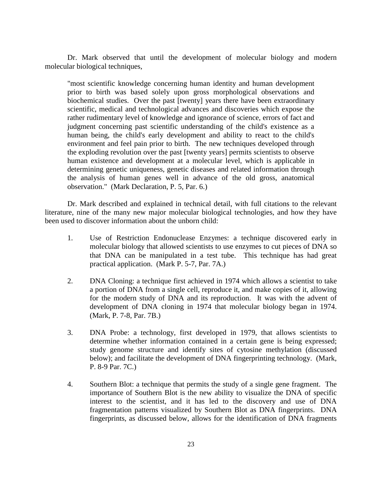Dr. Mark observed that until the development of molecular biology and modern molecular biological techniques,

"most scientific knowledge concerning human identity and human development prior to birth was based solely upon gross morphological observations and biochemical studies. Over the past [twenty] years there have been extraordinary scientific, medical and technological advances and discoveries which expose the rather rudimentary level of knowledge and ignorance of science, errors of fact and judgment concerning past scientific understanding of the child's existence as a human being, the child's early development and ability to react to the child's environment and feel pain prior to birth. The new techniques developed through the exploding revolution over the past [twenty years] permits scientists to observe human existence and development at a molecular level, which is applicable in determining genetic uniqueness, genetic diseases and related information through the analysis of human genes well in advance of the old gross, anatomical observation." (Mark Declaration, P. 5, Par. 6.)

 Dr. Mark described and explained in technical detail, with full citations to the relevant literature, nine of the many new major molecular biological technologies, and how they have been used to discover information about the unborn child:

- 1. Use of Restriction Endonuclease Enzymes: a technique discovered early in molecular biology that allowed scientists to use enzymes to cut pieces of DNA so that DNA can be manipulated in a test tube. This technique has had great practical application. (Mark P. 5-7, Par. 7A.)
- 2. DNA Cloning: a technique first achieved in 1974 which allows a scientist to take a portion of DNA from a single cell, reproduce it, and make copies of it, allowing for the modern study of DNA and its reproduction. It was with the advent of development of DNA cloning in 1974 that molecular biology began in 1974. (Mark, P. 7-8, Par. 7B.)
- 3. DNA Probe: a technology, first developed in 1979, that allows scientists to determine whether information contained in a certain gene is being expressed; study genome structure and identify sites of cytosine methylation (discussed below); and facilitate the development of DNA fingerprinting technology. (Mark, P. 8-9 Par. 7C.)
- 4. Southern Blot: a technique that permits the study of a single gene fragment. The importance of Southern Blot is the new ability to visualize the DNA of specific interest to the scientist, and it has led to the discovery and use of DNA fragmentation patterns visualized by Southern Blot as DNA fingerprints. DNA fingerprints, as discussed below, allows for the identification of DNA fragments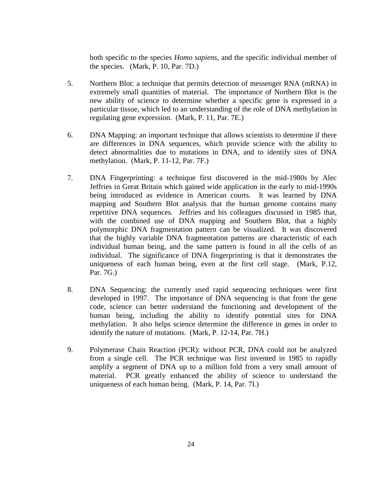both specific to the species *Homo sapiens*, and the specific individual member of the species. (Mark, P. 10, Par. 7D.)

- 5. Northern Blot: a technique that permits detection of messenger RNA (mRNA) in extremely small quantities of material. The importance of Northern Blot is the new ability of science to determine whether a specific gene is expressed in a particular tissue, which led to an understanding of the role of DNA methylation in regulating gene expression. (Mark, P. 11, Par. 7E.)
- 6. DNA Mapping: an important technique that allows scientists to determine if there are differences in DNA sequences, which provide science with the ability to detect abnormalities due to mutations in DNA, and to identify sites of DNA methylation. (Mark, P. 11-12, Par. 7F.)
- 7. DNA Fingerprinting: a technique first discovered in the mid-1980s by Alec Jeffries in Great Britain which gained wide application in the early to mid-1990s being introduced as evidence in American courts. It was learned by DNA mapping and Southern Blot analysis that the human genome contains many repetitive DNA sequences. Jeffries and his colleagues discussed in 1985 that, with the combined use of DNA mapping and Southern Blot, that a highly polymorphic DNA fragmentation pattern can be visualized. It was discovered that the highly variable DNA fragmentation patterns are characteristic of each individual human being, and the same pattern is found in all the cells of an individual. The significance of DNA fingerprinting is that it demonstrates the uniqueness of each human being, even at the first cell stage. (Mark, P.12, Par. 7G.)
- 8. DNA Sequencing: the currently used rapid sequencing techniques were first developed in 1997. The importance of DNA sequencing is that from the gene code, science can better understand the functioning and development of the human being, including the ability to identify potential sites for DNA methylation. It also helps science determine the difference in genes in order to identify the nature of mutations. (Mark, P. 12-14, Par. 7H.)
- 9. Polymerase Chain Reaction (PCR): without PCR, DNA could not be analyzed from a single cell. The PCR technique was first invented in 1985 to rapidly amplify a segment of DNA up to a million fold from a very small amount of material. PCR greatly enhanced the ability of science to understand the uniqueness of each human being. (Mark, P. 14, Par. 7I.)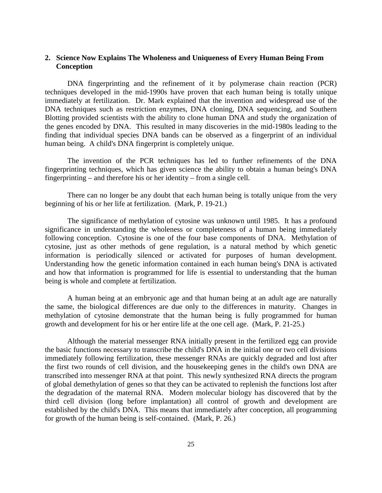# **2. Science Now Explains The Wholeness and Uniqueness of Every Human Being From Conception**

 DNA fingerprinting and the refinement of it by polymerase chain reaction (PCR) techniques developed in the mid-1990s have proven that each human being is totally unique immediately at fertilization. Dr. Mark explained that the invention and widespread use of the DNA techniques such as restriction enzymes, DNA cloning, DNA sequencing, and Southern Blotting provided scientists with the ability to clone human DNA and study the organization of the genes encoded by DNA. This resulted in many discoveries in the mid-1980s leading to the finding that individual species DNA bands can be observed as a fingerprint of an individual human being. A child's DNA fingerprint is completely unique.

 The invention of the PCR techniques has led to further refinements of the DNA fingerprinting techniques, which has given science the ability to obtain a human being's DNA fingerprinting – and therefore his or her identity – from a single cell.

 There can no longer be any doubt that each human being is totally unique from the very beginning of his or her life at fertilization. (Mark, P. 19-21.)

 The significance of methylation of cytosine was unknown until 1985. It has a profound significance in understanding the wholeness or completeness of a human being immediately following conception. Cytosine is one of the four base components of DNA. Methylation of cytosine, just as other methods of gene regulation, is a natural method by which genetic information is periodically silenced or activated for purposes of human development. Understanding how the genetic information contained in each human being's DNA is activated and how that information is programmed for life is essential to understanding that the human being is whole and complete at fertilization.

 A human being at an embryonic age and that human being at an adult age are naturally the same, the biological differences are due only to the differences in maturity. Changes in methylation of cytosine demonstrate that the human being is fully programmed for human growth and development for his or her entire life at the one cell age. (Mark, P. 21-25.)

 Although the material messenger RNA initially present in the fertilized egg can provide the basic functions necessary to transcribe the child's DNA in the initial one or two cell divisions immediately following fertilization, these messenger RNAs are quickly degraded and lost after the first two rounds of cell division, and the housekeeping genes in the child's own DNA are transcribed into messenger RNA at that point. This newly synthesized RNA directs the program of global demethylation of genes so that they can be activated to replenish the functions lost after the degradation of the maternal RNA. Modern molecular biology has discovered that by the third cell division (long before implantation) all control of growth and development are established by the child's DNA. This means that immediately after conception, all programming for growth of the human being is self-contained. (Mark, P. 26.)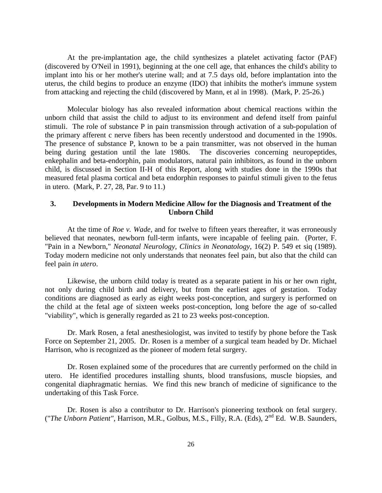At the pre-implantation age, the child synthesizes a platelet activating factor (PAF) (discovered by O'Neil in 1991), beginning at the one cell age, that enhances the child's ability to implant into his or her mother's uterine wall; and at 7.5 days old, before implantation into the uterus, the child begins to produce an enzyme (IDO) that inhibits the mother's immune system from attacking and rejecting the child (discovered by Mann, et al in 1998). (Mark, P. 25-26.)

 Molecular biology has also revealed information about chemical reactions within the unborn child that assist the child to adjust to its environment and defend itself from painful stimuli. The role of substance P in pain transmission through activation of a sub-population of the primary afferent c nerve fibers has been recently understood and documented in the 1990s. The presence of substance P, known to be a pain transmitter, was not observed in the human being during gestation until the late 1980s. The discoveries concerning neuropeptides, enkephalin and beta-endorphin, pain modulators, natural pain inhibitors, as found in the unborn child, is discussed in Section II-H of this Report, along with studies done in the 1990s that measured fetal plasma cortical and beta endorphin responses to painful stimuli given to the fetus in utero. (Mark, P. 27, 28, Par. 9 to 11.)

# **3. Developments in Modern Medicine Allow for the Diagnosis and Treatment of the Unborn Child**

 At the time of *Roe v. Wade*, and for twelve to fifteen years thereafter, it was erroneously believed that neonates, newborn full-term infants, were incapable of feeling pain. (Porter, F. "Pain in a Newborn," *Neonatal Neurology, Clinics in Neonatology*, 16(2) P. 549 et siq (1989). Today modern medicine not only understands that neonates feel pain, but also that the child can feel pain *in utero*.

 Likewise, the unborn child today is treated as a separate patient in his or her own right, not only during child birth and delivery, but from the earliest ages of gestation. Today conditions are diagnosed as early as eight weeks post-conception, and surgery is performed on the child at the fetal age of sixteen weeks post-conception, long before the age of so-called "viability", which is generally regarded as 21 to 23 weeks post-conception.

 Dr. Mark Rosen, a fetal anesthesiologist, was invited to testify by phone before the Task Force on September 21, 2005. Dr. Rosen is a member of a surgical team headed by Dr. Michael Harrison, who is recognized as the pioneer of modern fetal surgery.

 Dr. Rosen explained some of the procedures that are currently performed on the child in utero. He identified procedures installing shunts, blood transfusions, muscle biopsies, and congenital diaphragmatic hernias. We find this new branch of medicine of significance to the undertaking of this Task Force.

 Dr. Rosen is also a contributor to Dr. Harrison's pioneering textbook on fetal surgery. ("*The Unborn Patient"*, Harrison, M.R., Golbus, M.S., Filly, R.A. (Eds), 2nd Ed. W.B. Saunders,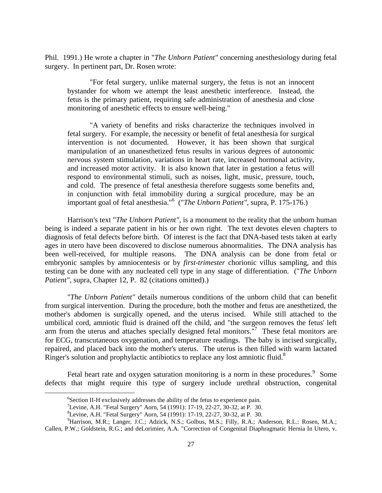Phil. 1991.) He wrote a chapter in "*The Unborn Patient"* concerning anesthesiology during fetal surgery. In pertinent part, Dr. Rosen wrote:

 "For fetal surgery, unlike maternal surgery, the fetus is not an innocent bystander for whom we attempt the least anesthetic interference. Instead, the fetus is the primary patient, requiring safe administration of anesthesia and close monitoring of anesthetic effects to ensure well-being."

 "A variety of benefits and risks characterize the techniques involved in fetal surgery. For example, the necessity or benefit of fetal anesthesia for surgical intervention is not documented. However, it has been shown that surgical manipulation of an unanesthetized fetus results in various degrees of autonomic nervous system stimulation, variations in heart rate, increased hormonal activity, and increased motor activity. It is also known that later in gestation a fetus will respond to environmental stimuli, such as noises, light, music, pressure, touch, and cold. The presence of fetal anesthesia therefore suggests some benefits and, in conjunction with fetal immobility during a surgical procedure, may be an important goal of fetal anesthesia."<sup>6</sup> ("*The Unborn Patient"*, supra, P. 175-176.)

 Harrison's text "*The Unborn Patient"*, is a monument to the reality that the unborn human being is indeed a separate patient in his or her own right. The text devotes eleven chapters to diagnosis of fetal defects before birth. Of interest is the fact that DNA-based tests taken at early ages in utero have been discovered to disclose numerous abnormalities. The DNA analysis has been well-received, for multiple reasons. The DNA analysis can be done from fetal or embryonic samples by amniocentesis or by *first-trimester* chorionic villus sampling, and this testing can be done with any nucleated cell type in any stage of differentiation. ("*The Unborn Patient"*, supra, Chapter 12, P. 82 (citations omitted).)

 "*The Unborn Patient"* details numerous conditions of the unborn child that can benefit from surgical intervention. During the procedure, both the mother and fetus are anesthetized, the mother's abdomen is surgically opened, and the uterus incised. While still attached to the umbilical cord, amniotic fluid is drained off the child, and "the surgeon removes the fetus' left arm from the uterus and attaches specially designed fetal monitors.<sup>"7</sup> These fetal monitors are for ECG, transcutaneous oxygenation, and temperature readings. The baby is incised surgically, repaired, and placed back into the mother's uterus. The uterus is then filled with warm lactated Ringer's solution and prophylactic antibiotics to replace any lost amniotic fluid.<sup>8</sup>

Fetal heart rate and oxygen saturation monitoring is a norm in these procedures.<sup>9</sup> Some defects that might require this type of surgery include urethral obstruction, congenital

<sup>6</sup> Section II-H exclusively addresses the ability of the fetus to experience pain.

<sup>&</sup>lt;sup>7</sup>Levine, A.H. "Fetal Surgery" Aorn, 54 (1991): 17-19, 22-27, 30-32, at P. 30.

<sup>8</sup> Levine, A.H. "Fetal Surgery" Aorn, 54 (1991): 17-19, 22-27, 30-32, at P. 30.

<sup>&</sup>lt;sup>9</sup>Harrison, M.R.; Langer, J.C.; Adzick, N.S.; Golbus, M.S.; Filly, R.A.; Anderson, R.L.: Rosen, M.A.; Callen, P.W.; Goldstein, R.G.; and deLorimier, A.A. "Correction of Congenital Diaphragmatic Hernia In Utero, v.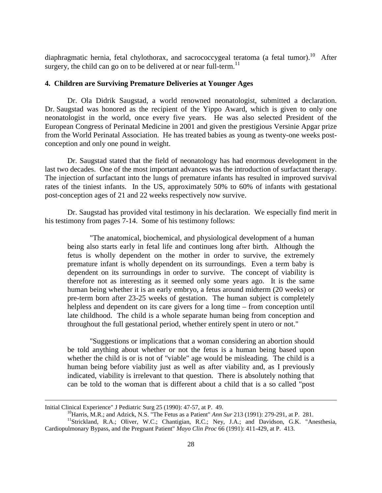diaphragmatic hernia, fetal chylothorax, and sacrococcygeal teratoma (a fetal tumor).<sup>10</sup> After surgery, the child can go on to be delivered at or near full-term.<sup>11</sup>

#### **4. Children are Surviving Premature Deliveries at Younger Ages**

 Dr. Ola Didrik Saugstad, a world renowned neonatologist, submitted a declaration. Dr. Saugstad was honored as the recipient of the Yippo Award, which is given to only one neonatologist in the world, once every five years. He was also selected President of the European Congress of Perinatal Medicine in 2001 and given the prestigious Versinie Apgar prize from the World Perinatal Association. He has treated babies as young as twenty-one weeks postconception and only one pound in weight.

Dr. Saugstad stated that the field of neonatology has had enormous development in the last two decades. One of the most important advances was the introduction of surfactant therapy. The injection of surfactant into the lungs of premature infants has resulted in improved survival rates of the tiniest infants. In the US, approximately 50% to 60% of infants with gestational post-conception ages of 21 and 22 weeks respectively now survive.

 Dr. Saugstad has provided vital testimony in his declaration. We especially find merit in his testimony from pages 7-14. Some of his testimony follows:

 "The anatomical, biochemical, and physiological development of a human being also starts early in fetal life and continues long after birth. Although the fetus is wholly dependent on the mother in order to survive, the extremely premature infant is wholly dependent on its surroundings. Even a term baby is dependent on its surroundings in order to survive. The concept of viability is therefore not as interesting as it seemed only some years ago. It is the same human being whether it is an early embryo, a fetus around midterm (20 weeks) or pre-term born after 23-25 weeks of gestation. The human subject is completely helpless and dependent on its care givers for a long time – from conception until late childhood. The child is a whole separate human being from conception and throughout the full gestational period, whether entirely spent in utero or not."

 "Suggestions or implications that a woman considering an abortion should be told anything about whether or not the fetus is a human being based upon whether the child is or is not of "viable" age would be misleading. The child is a human being before viability just as well as after viability and, as I previously indicated, viability is irrelevant to that question. There is absolutely nothing that can be told to the woman that is different about a child that is a so called "post

Initial Clinical Experience" J Pediatric Surg 25 (1990): 47-57, at P. 49.<br><sup>10</sup>Harris, M.R.; and Adzick, N.S. "The Fetus as a Patient" *Ann Sur* 213 (1991): 279-291, at P. 281.<br><sup>11</sup>Strickland, R.A.; Oliver, W.C.; Chantigian Cardiopulmonary Bypass, and the Pregnant Patient" *Mayo Clin Proc* 66 (1991): 411-429, at P. 413.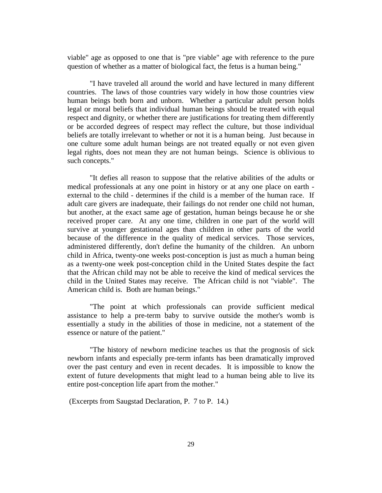viable" age as opposed to one that is "pre viable" age with reference to the pure question of whether as a matter of biological fact, the fetus is a human being."

 "I have traveled all around the world and have lectured in many different countries. The laws of those countries vary widely in how those countries view human beings both born and unborn. Whether a particular adult person holds legal or moral beliefs that individual human beings should be treated with equal respect and dignity, or whether there are justifications for treating them differently or be accorded degrees of respect may reflect the culture, but those individual beliefs are totally irrelevant to whether or not it is a human being. Just because in one culture some adult human beings are not treated equally or not even given legal rights, does not mean they are not human beings. Science is oblivious to such concepts."

 "It defies all reason to suppose that the relative abilities of the adults or medical professionals at any one point in history or at any one place on earth external to the child - determines if the child is a member of the human race. If adult care givers are inadequate, their failings do not render one child not human, but another, at the exact same age of gestation, human beings because he or she received proper care. At any one time, children in one part of the world will survive at younger gestational ages than children in other parts of the world because of the difference in the quality of medical services. Those services, administered differently, don't define the humanity of the children. An unborn child in Africa, twenty-one weeks post-conception is just as much a human being as a twenty-one week post-conception child in the United States despite the fact that the African child may not be able to receive the kind of medical services the child in the United States may receive. The African child is not "viable". The American child is. Both are human beings."

 "The point at which professionals can provide sufficient medical assistance to help a pre-term baby to survive outside the mother's womb is essentially a study in the abilities of those in medicine, not a statement of the essence or nature of the patient."

 "The history of newborn medicine teaches us that the prognosis of sick newborn infants and especially pre-term infants has been dramatically improved over the past century and even in recent decades. It is impossible to know the extent of future developments that might lead to a human being able to live its entire post-conception life apart from the mother."

(Excerpts from Saugstad Declaration, P. 7 to P. 14.)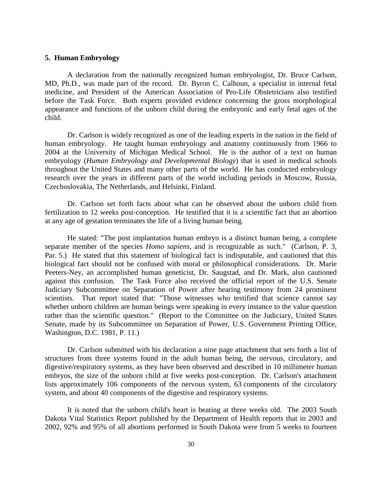#### **5. Human Embryology**

 A declaration from the nationally recognized human embryologist, Dr. Bruce Carlson, MD, Ph.D., was made part of the record. Dr. Byron C. Calhoun, a specialist in internal fetal medicine, and President of the American Association of Pro-Life Obstetricians also testified before the Task Force. Both experts provided evidence concerning the gross morphological appearance and functions of the unborn child during the embryonic and early fetal ages of the child.

 Dr. Carlson is widely recognized as one of the leading experts in the nation in the field of human embryology. He taught human embryology and anatomy continuously from 1966 to 2004 at the University of Michigan Medical School. He is the author of a text on human embryology (*Human Embryology and Developmental Biology*) that is used in medical schools throughout the United States and many other parts of the world. He has conducted embryology research over the years in different parts of the world including periods in Moscow, Russia, Czechoslovakia, The Netherlands, and Helsinki, Finland.

 Dr. Carlson set forth facts about what can be observed about the unborn child from fertilization to 12 weeks post-conception. He testified that it is a scientific fact that an abortion at any age of gestation terminates the life of a living human being.

 He stated: "The post implantation human embryo is a distinct human being, a complete separate member of the species *Homo sapiens*, and is recognizable as such." (Carlson, P. 3, Par. 5.) He stated that this statement of biological fact is indisputable, and cautioned that this biological fact should not be confused with moral or philosophical considerations. Dr. Marie Peeters-Ney, an accomplished human geneticist, Dr. Saugstad, and Dr. Mark, also cautioned against this confusion. The Task Force also received the official report of the U.S. Senate Judiciary Subcommittee on Separation of Power after hearing testimony from 24 prominent scientists. That report stated that: "Those witnesses who testified that science cannot say whether unborn children are human beings were speaking in every instance to the value question rather than the scientific question." (Report to the Committee on the Judiciary, United States Senate, made by its Subcommittee on Separation of Power, U.S. Government Printing Office, Washington, D.C. 1981, P. 11.)

 Dr. Carlson submitted with his declaration a nine page attachment that sets forth a list of structures from three systems found in the adult human being, the nervous, circulatory, and digestive/respiratory systems, as they have been observed and described in 10 millimeter human embryos, the size of the unborn child at five weeks post-conception. Dr. Carlson's attachment lists approximately 106 components of the nervous system, 63 components of the circulatory system, and about 40 components of the digestive and respiratory systems.

 It is noted that the unborn child's heart is beating at three weeks old. The 2003 South Dakota Vital Statistics Report published by the Department of Health reports that in 2003 and 2002, 92% and 95% of all abortions performed in South Dakota were from 5 weeks to fourteen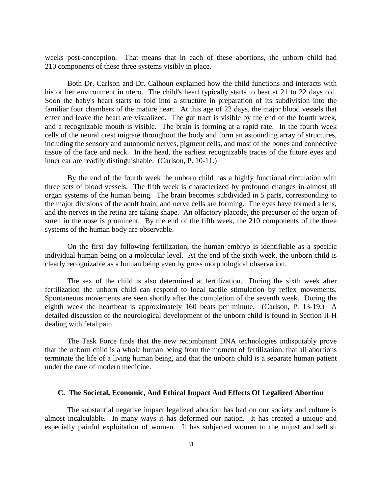weeks post-conception. That means that in each of these abortions, the unborn child had 210 components of these three systems visibly in place.

 Both Dr. Carlson and Dr. Calhoun explained how the child functions and interacts with his or her environment in utero. The child's heart typically starts to beat at 21 to 22 days old. Soon the baby's heart starts to fold into a structure in preparation of its subdivision into the familiar four chambers of the mature heart. At this age of 22 days, the major blood vessels that enter and leave the heart are visualized. The gut tract is visible by the end of the fourth week, and a recognizable mouth is visible. The brain is forming at a rapid rate. In the fourth week cells of the neural crest migrate throughout the body and form an astounding array of structures, including the sensory and autonomic nerves, pigment cells, and most of the bones and connective tissue of the face and neck. In the head, the earliest recognizable traces of the future eyes and inner ear are readily distinguishable. (Carlson, P. 10-11.)

 By the end of the fourth week the unborn child has a highly functional circulation with three sets of blood vessels. The fifth week is characterized by profound changes in almost all organ systems of the human being. The brain becomes subdivided in 5 parts, corresponding to the major divisions of the adult brain, and nerve cells are forming. The eyes have formed a lens, and the nerves in the retina are taking shape. An olfactory placode, the precursor of the organ of smell in the nose is prominent. By the end of the fifth week, the 210 components of the three systems of the human body are observable.

 On the first day following fertilization, the human embryo is identifiable as a specific individual human being on a molecular level. At the end of the sixth week, the unborn child is clearly recognizable as a human being even by gross morphological observation.

 The sex of the child is also determined at fertilization. During the sixth week after fertilization the unborn child can respond to local tactile stimulation by reflex movements. Spontaneous movements are seen shortly after the completion of the seventh week. During the eighth week the heartbeat is approximately 160 beats per minute. (Carlson, P. 13-19.) A detailed discussion of the neurological development of the unborn child is found in Section II-H dealing with fetal pain.

 The Task Force finds that the new recombinant DNA technologies indisputably prove that the unborn child is a whole human being from the moment of fertilization, that all abortions terminate the life of a living human being, and that the unborn child is a separate human patient under the care of modern medicine.

#### **C. The Societal, Economic, And Ethical Impact And Effects Of Legalized Abortion**

 The substantial negative impact legalized abortion has had on our society and culture is almost incalculable. In many ways it has deformed our nation. It has created a unique and especially painful exploitation of women. It has subjected women to the unjust and selfish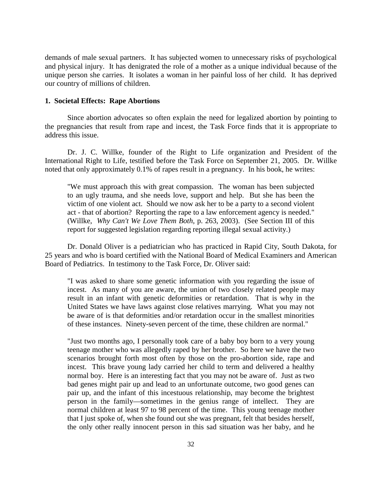demands of male sexual partners. It has subjected women to unnecessary risks of psychological and physical injury. It has denigrated the role of a mother as a unique individual because of the unique person she carries. It isolates a woman in her painful loss of her child. It has deprived our country of millions of children.

#### **1. Societal Effects: Rape Abortions**

Since abortion advocates so often explain the need for legalized abortion by pointing to the pregnancies that result from rape and incest, the Task Force finds that it is appropriate to address this issue.

Dr. J. C. Willke, founder of the Right to Life organization and President of the International Right to Life, testified before the Task Force on September 21, 2005. Dr. Willke noted that only approximately 0.1% of rapes result in a pregnancy. In his book, he writes:

"We must approach this with great compassion. The woman has been subjected to an ugly trauma, and she needs love, support and help. But she has been the victim of one violent act. Should we now ask her to be a party to a second violent act - that of abortion? Reporting the rape to a law enforcement agency is needed." (Willke, *Why Can't We Love Them Both*, p. 263, 2003). (See Section III of this report for suggested legislation regarding reporting illegal sexual activity.)

Dr. Donald Oliver is a pediatrician who has practiced in Rapid City, South Dakota, for 25 years and who is board certified with the National Board of Medical Examiners and American Board of Pediatrics. In testimony to the Task Force, Dr. Oliver said:

"I was asked to share some genetic information with you regarding the issue of incest. As many of you are aware, the union of two closely related people may result in an infant with genetic deformities or retardation. That is why in the United States we have laws against close relatives marrying. What you may not be aware of is that deformities and/or retardation occur in the smallest minorities of these instances. Ninety-seven percent of the time, these children are normal."

"Just two months ago, I personally took care of a baby boy born to a very young teenage mother who was allegedly raped by her brother. So here we have the two scenarios brought forth most often by those on the pro-abortion side, rape and incest. This brave young lady carried her child to term and delivered a healthy normal boy. Here is an interesting fact that you may not be aware of. Just as two bad genes might pair up and lead to an unfortunate outcome, two good genes can pair up, and the infant of this incestuous relationship, may become the brightest person in the family—sometimes in the genius range of intellect. They are normal children at least 97 to 98 percent of the time. This young teenage mother that I just spoke of, when she found out she was pregnant, felt that besides herself, the only other really innocent person in this sad situation was her baby, and he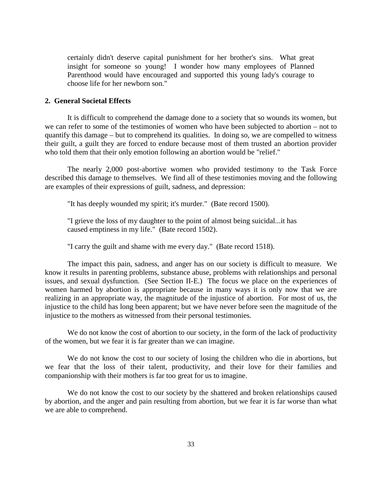certainly didn't deserve capital punishment for her brother's sins. What great insight for someone so young! I wonder how many employees of Planned Parenthood would have encouraged and supported this young lady's courage to choose life for her newborn son."

#### **2. General Societal Effects**

 It is difficult to comprehend the damage done to a society that so wounds its women, but we can refer to some of the testimonies of women who have been subjected to abortion – not to quantify this damage – but to comprehend its qualities. In doing so, we are compelled to witness their guilt, a guilt they are forced to endure because most of them trusted an abortion provider who told them that their only emotion following an abortion would be "relief."

 The nearly 2,000 post-abortive women who provided testimony to the Task Force described this damage to themselves. We find all of these testimonies moving and the following are examples of their expressions of guilt, sadness, and depression:

"It has deeply wounded my spirit; it's murder." (Bate record 1500).

"I grieve the loss of my daughter to the point of almost being suicidal...it has caused emptiness in my life." (Bate record 1502).

"I carry the guilt and shame with me every day." (Bate record 1518).

 The impact this pain, sadness, and anger has on our society is difficult to measure. We know it results in parenting problems, substance abuse, problems with relationships and personal issues, and sexual dysfunction. (See Section II-E.) The focus we place on the experiences of women harmed by abortion is appropriate because in many ways it is only now that we are realizing in an appropriate way, the magnitude of the injustice of abortion. For most of us, the injustice to the child has long been apparent; but we have never before seen the magnitude of the injustice to the mothers as witnessed from their personal testimonies.

We do not know the cost of abortion to our society, in the form of the lack of productivity of the women, but we fear it is far greater than we can imagine.

 We do not know the cost to our society of losing the children who die in abortions, but we fear that the loss of their talent, productivity, and their love for their families and companionship with their mothers is far too great for us to imagine.

 We do not know the cost to our society by the shattered and broken relationships caused by abortion, and the anger and pain resulting from abortion, but we fear it is far worse than what we are able to comprehend.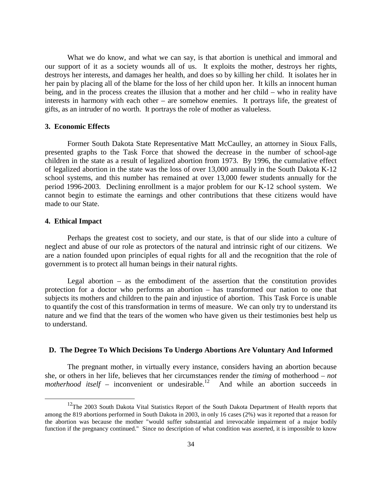What we do know, and what we can say, is that abortion is unethical and immoral and our support of it as a society wounds all of us. It exploits the mother, destroys her rights, destroys her interests, and damages her health, and does so by killing her child. It isolates her in her pain by placing all of the blame for the loss of her child upon her. It kills an innocent human being, and in the process creates the illusion that a mother and her child – who in reality have interests in harmony with each other – are somehow enemies. It portrays life, the greatest of gifts, as an intruder of no worth. It portrays the role of mother as valueless.

#### **3. Economic Effects**

 Former South Dakota State Representative Matt McCaulley, an attorney in Sioux Falls, presented graphs to the Task Force that showed the decrease in the number of school-age children in the state as a result of legalized abortion from 1973. By 1996, the cumulative effect of legalized abortion in the state was the loss of over 13,000 annually in the South Dakota K-12 school systems, and this number has remained at over 13,000 fewer students annually for the period 1996-2003. Declining enrollment is a major problem for our K-12 school system. We cannot begin to estimate the earnings and other contributions that these citizens would have made to our State.

# **4. Ethical Impact**

 Perhaps the greatest cost to society, and our state, is that of our slide into a culture of neglect and abuse of our role as protectors of the natural and intrinsic right of our citizens. We are a nation founded upon principles of equal rights for all and the recognition that the role of government is to protect all human beings in their natural rights.

 Legal abortion – as the embodiment of the assertion that the constitution provides protection for a doctor who performs an abortion – has transformed our nation to one that subjects its mothers and children to the pain and injustice of abortion. This Task Force is unable to quantify the cost of this transformation in terms of measure. We can only try to understand its nature and we find that the tears of the women who have given us their testimonies best help us to understand.

#### **D. The Degree To Which Decisions To Undergo Abortions Are Voluntary And Informed**

 The pregnant mother, in virtually every instance, considers having an abortion because she, or others in her life, believes that her circumstances render the *timing* of motherhood – *not motherhood itself* – inconvenient or undesirable.<sup>12</sup> And while an abortion succeeds in

<sup>&</sup>lt;sup>12</sup>The 2003 South Dakota Vital Statistics Report of the South Dakota Department of Health reports that among the 819 abortions performed in South Dakota in 2003, in only 16 cases (2%) was it reported that a reason for the abortion was because the mother "would suffer substantial and irrevocable impairment of a major bodily function if the pregnancy continued." Since no description of what condition was asserted, it is impossible to know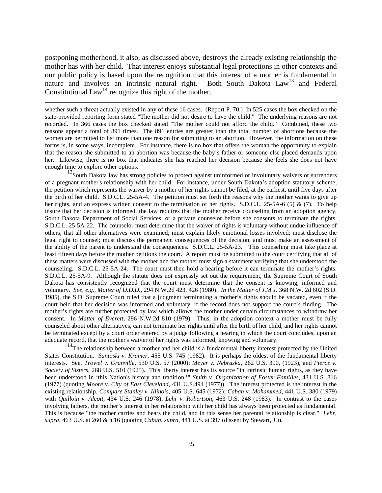postponing motherhood, it also, as discussed above, destroys the already existing relationship the mother has with her child. That interest enjoys substantial legal protections in other contexts and our public policy is based upon the recognition that this interest of a mother is fundamental in nature and involves an intrinsic natural right. Both South Dakota Law<sup>13</sup> and Federal Constitutional Law<sup>14</sup> recognize this right of the mother.

whether such a threat actually existed in any of these 16 cases. (Report P. 70.) In 525 cases the box checked on the state-provided reporting form stated "The mother did not desire to have the child." The underlying reasons are not recorded. In 366 cases the box checked stated "The mother could not afford the child." Combined, these two reasons appear a total of 891 times. The 891 entries are greater than the total number of abortions because the women are permitted to list more than one reason for submitting to an abortion. However, the information on these forms is, in some ways, incomplete. For instance, there is no box that offers the woman the opportunity to explain that the reason she submitted to an abortion was because the baby's father or someone else placed demands upon her. Likewise, there is no box that indicates she has reached her decision because she feels she does not have enough time to explore other options.

<sup>13</sup>South Dakota law has strong policies to protect against uninformed or involuntary waivers or surrenders of a pregnant mother's relationship with her child. For instance, under South Dakota's adoption statutory scheme, the petition which represents the waiver by a mother of her rights cannot be filed, at the earliest, until five days after the birth of her child. S.D.C.L. 25-5A-4. The petition must set forth the reasons why the mother wants to give up her rights, and an express written consent to the termination of her rights. S.D.C.L. 25-5A-6 (5) & (7). To help insure that her decision is informed, the law requires that the mother receive counseling from an adoption agency, South Dakota Department of Social Services, or a private counselor before she consents to terminate the rights. S.D.C.L. 25-5A-22. The counselor must determine that the waiver of rights is voluntary without undue influence of others; that all other alternatives were examined; must explain likely emotional losses involved; must disclose the legal right to counsel; must discuss the permanent consequences of the decision; and must make an assessment of the ability of the parent to understand the consequences. S.D.C.L. 25-5A-23. This counseling must take place at least fifteen days before the mother petitions the court. A report must be submitted to the court certifying that all of these matters were discussed with the mother and the mother must sign a statement verifying that she understood the counseling. S.D.C.L. 25-5A-24. The court must then hold a hearing before it can terminate the mother's rights. S.D.C.L. 25-5A-9. Although the statute does not expressly set out the requirement, the Supreme Court of South Dakota has consistently recognized that the court must determine that the consent is knowing, informed and voluntary. *See*, *e.g.*, *Matter of D.D.D.*, 294 N.W.2d 423, 426 (1980). *In the Matter of J.M.J.* 368 N.W. 2d 602 (S.D. 1985), the S.D. Supreme Court ruled that a judgment terminating a mother's rights should be vacated, even if the court held that her decision was informed and voluntary, if the record does not support the court's finding. The mother's rights are further protected by law which allows the mother under certain circumstances to withdraw her consent. In *Matter of Everett*, 286 N.W.2d 810 (1979). Thus, in the adoption context a mother must be fully counseled about other alternatives, can not terminate her rights until after the birth of her child, and her rights cannot be terminated except by a court order entered by a judge following a hearing in which the court concludes, upon an adequate record, that the mother's waiver of her rights was informed, knowing and voluntary.

<sup>14</sup>The relationship between a mother and her child is a fundamental liberty interest protected by the United States Constitution. *Santoski v. Kramer*, 455 U.S. 745 (1982). It is perhaps the oldest of the fundamental liberty interests. See, *Trowel v. Granville*, 530 U.S. 57 (2000); *Meyer v. Nebraska*, 262 U.S. 390, (1923), and *Pierce v. Society of Sisters*, 268 U.S. 510 (1925). This liberty interest has its source "in intrinsic human rights, as they have been understood in 'this Nation's history and tradition.'" *Smith v. Organization of Foster Families*, 431 U.S. 816 (1977) (quoting *Moore v. City of East Cleveland*, 431 U.S.494 (1977)). The interest protected is the interest in the existing relationship. *Compare Stanley v. Illinois*, 405 U.S. 645 (1972); *Caban v. Mohammed*, 441 U.S. 380 (1979) with *Quilloin v. Alcott*, 434 U.S. 246 (1978); *Lehr v. Robertson*, 463 U.S. 248 (1983). In contrast to the cases involving fathers, the mother's interest in her relationship with her child has always been protected as fundamental. This is because "the mother carries and bears the child, and in this sense her parental relationship is clear." *Lehr*, *supra*, 463 U.S. at 260 & n.16 (quoting *Caban*, *supra*, 441 U.S. at 397 (dissent by Stewart, J.)).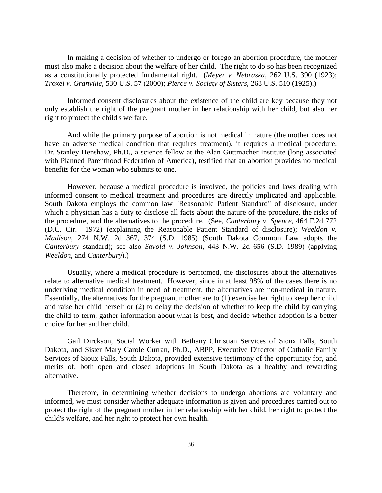In making a decision of whether to undergo or forego an abortion procedure, the mother must also make a decision about the welfare of her child. The right to do so has been recognized as a constitutionally protected fundamental right. (*Meyer v. Nebraska*, 262 U.S. 390 (1923); *Troxel v. Granville*, 530 U.S. 57 (2000); *Pierce v. Society of Sisters*, 268 U.S. 510 (1925).)

 Informed consent disclosures about the existence of the child are key because they not only establish the right of the pregnant mother in her relationship with her child, but also her right to protect the child's welfare.

 And while the primary purpose of abortion is not medical in nature (the mother does not have an adverse medical condition that requires treatment), it requires a medical procedure. Dr. Stanley Henshaw, Ph.D., a science fellow at the Alan Guttmacher Institute (long associated with Planned Parenthood Federation of America), testified that an abortion provides no medical benefits for the woman who submits to one.

 However, because a medical procedure is involved, the policies and laws dealing with informed consent to medical treatment and procedures are directly implicated and applicable. South Dakota employs the common law "Reasonable Patient Standard" of disclosure, under which a physician has a duty to disclose all facts about the nature of the procedure, the risks of the procedure, and the alternatives to the procedure. (See, *Canterbury v. Spence*, 464 F.2d 772 (D.C. Cir. 1972) (explaining the Reasonable Patient Standard of disclosure); *Weeldon v. Madison*, 274 N.W. 2d 367, 374 (S.D. 1985) (South Dakota Common Law adopts the *Canterbury* standard); see also *Savold v. Johnson*, 443 N.W. 2d 656 (S.D. 1989) (applying *Weeldon*, and *Canterbury*).)

 Usually, where a medical procedure is performed, the disclosures about the alternatives relate to alternative medical treatment. However, since in at least 98% of the cases there is no underlying medical condition in need of treatment, the alternatives are non-medical in nature. Essentially, the alternatives for the pregnant mother are to (1) exercise her right to keep her child and raise her child herself or (2) to delay the decision of whether to keep the child by carrying the child to term, gather information about what is best, and decide whether adoption is a better choice for her and her child.

 Gail Dirckson, Social Worker with Bethany Christian Services of Sioux Falls, South Dakota, and Sister Mary Carole Curran, Ph.D., ABPP, Executive Director of Catholic Family Services of Sioux Falls, South Dakota, provided extensive testimony of the opportunity for, and merits of, both open and closed adoptions in South Dakota as a healthy and rewarding alternative.

 Therefore, in determining whether decisions to undergo abortions are voluntary and informed, we must consider whether adequate information is given and procedures carried out to protect the right of the pregnant mother in her relationship with her child, her right to protect the child's welfare, and her right to protect her own health.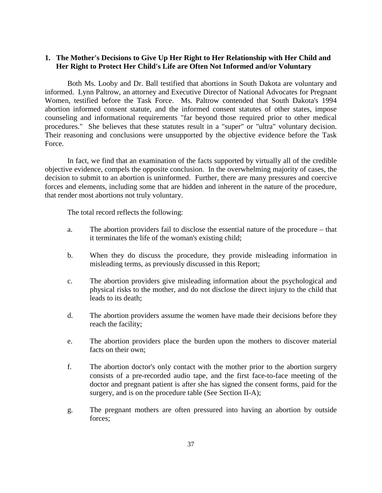# **1. The Mother's Decisions to Give Up Her Right to Her Relationship with Her Child and Her Right to Protect Her Child's Life are Often Not Informed and/or Voluntary**

 Both Ms. Looby and Dr. Ball testified that abortions in South Dakota are voluntary and informed. Lynn Paltrow, an attorney and Executive Director of National Advocates for Pregnant Women, testified before the Task Force. Ms. Paltrow contended that South Dakota's 1994 abortion informed consent statute, and the informed consent statutes of other states, impose counseling and informational requirements "far beyond those required prior to other medical procedures." She believes that these statutes result in a "super" or "ultra" voluntary decision. Their reasoning and conclusions were unsupported by the objective evidence before the Task Force.

 In fact, we find that an examination of the facts supported by virtually all of the credible objective evidence, compels the opposite conclusion. In the overwhelming majority of cases, the decision to submit to an abortion is uninformed. Further, there are many pressures and coercive forces and elements, including some that are hidden and inherent in the nature of the procedure, that render most abortions not truly voluntary.

The total record reflects the following:

- a. The abortion providers fail to disclose the essential nature of the procedure that it terminates the life of the woman's existing child;
- b. When they do discuss the procedure, they provide misleading information in misleading terms, as previously discussed in this Report;
- c. The abortion providers give misleading information about the psychological and physical risks to the mother, and do not disclose the direct injury to the child that leads to its death;
- d. The abortion providers assume the women have made their decisions before they reach the facility;
- e. The abortion providers place the burden upon the mothers to discover material facts on their own;
- f. The abortion doctor's only contact with the mother prior to the abortion surgery consists of a pre-recorded audio tape, and the first face-to-face meeting of the doctor and pregnant patient is after she has signed the consent forms, paid for the surgery, and is on the procedure table (See Section II-A);
- g. The pregnant mothers are often pressured into having an abortion by outside forces;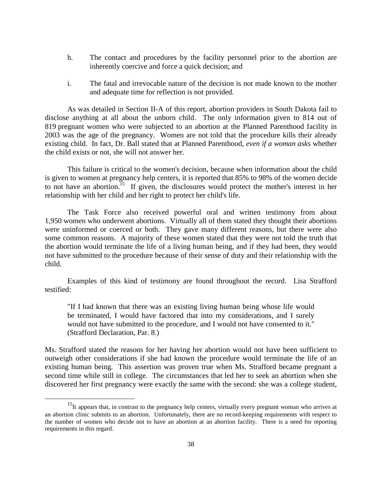- h. The contact and procedures by the facility personnel prior to the abortion are inherently coercive and force a quick decision; and
- i. The fatal and irrevocable nature of the decision is not made known to the mother and adequate time for reflection is not provided.

 As was detailed in Section II-A of this report, abortion providers in South Dakota fail to disclose anything at all about the unborn child. The only information given to 814 out of 819 pregnant women who were subjected to an abortion at the Planned Parenthood facility in 2003 was the age of the pregnancy. Women are not told that the procedure kills their already existing child. In fact, Dr. Ball stated that at Planned Parenthood, *even if a woman asks* whether the child exists or not, she will not answer her.

 This failure is critical to the women's decision, because when information about the child is given to women at pregnancy help centers, it is reported that 85% to 98% of the women decide to not have an abortion.<sup>15</sup> If given, the disclosures would protect the mother's interest in her relationship with her child and her right to protect her child's life.

 The Task Force also received powerful oral and written testimony from about 1,950 women who underwent abortions. Virtually all of them stated they thought their abortions were uninformed or coerced or both. They gave many different reasons, but there were also some common reasons. A majority of these women stated that they were not told the truth that the abortion would terminate the life of a living human being, and if they had been, they would not have submitted to the procedure because of their sense of duty and their relationship with the child.

 Examples of this kind of testimony are found throughout the record. Lisa Strafford testified:

"If I had known that there was an existing living human being whose life would be terminated, I would have factored that into my considerations, and I surely would not have submitted to the procedure, and I would not have consented to it." (Strafford Declaration, Par. 8.)

Ms. Strafford stated the reasons for her having her abortion would not have been sufficient to outweigh other considerations if she had known the procedure would terminate the life of an existing human being. This assertion was proven true when Ms. Strafford became pregnant a second time while still in college. The circumstances that led her to seek an abortion when she discovered her first pregnancy were exactly the same with the second: she was a college student,

<sup>&</sup>lt;sup>15</sup>It appears that, in contrast to the pregnancy help centers, virtually every pregnant woman who arrives at an abortion clinic submits to an abortion. Unfortunately, there are no record-keeping requirements with respect to the number of women who decide not to have an abortion at an abortion facility. There is a need for reporting requirements in this regard.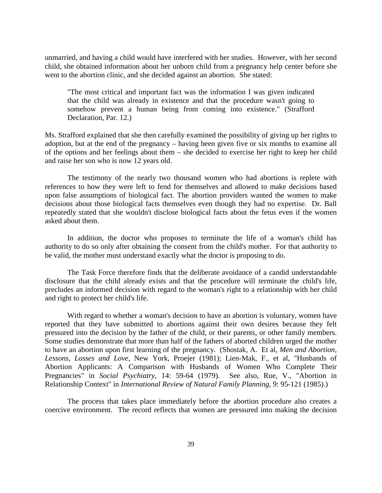unmarried, and having a child would have interfered with her studies. However, with her second child, she obtained information about her unborn child from a pregnancy help center before she went to the abortion clinic, and she decided against an abortion. She stated:

"The most critical and important fact was the information I was given indicated that the child was already in existence and that the procedure wasn't going to somehow prevent a human being from coming into existence." (Strafford Declaration, Par. 12.)

Ms. Strafford explained that she then carefully examined the possibility of giving up her rights to adoption, but at the end of the pregnancy – having been given five or six months to examine all of the options and her feelings about them – she decided to exercise her right to keep her child and raise her son who is now 12 years old.

 The testimony of the nearly two thousand women who had abortions is replete with references to how they were left to fend for themselves and allowed to make decisions based upon false assumptions of biological fact. The abortion providers wanted the women to make decisions about those biological facts themselves even though they had no expertise. Dr. Ball repeatedly stated that she wouldn't disclose biological facts about the fetus even if the women asked about them.

 In addition, the doctor who proposes to terminate the life of a woman's child has authority to do so only after obtaining the consent from the child's mother. For that authority to be valid, the mother must understand exactly what the doctor is proposing to do.

 The Task Force therefore finds that the deliberate avoidance of a candid understandable disclosure that the child already exists and that the procedure will terminate the child's life, precludes an informed decision with regard to the woman's right to a relationship with her child and right to protect her child's life.

 With regard to whether a woman's decision to have an abortion is voluntary, women have reported that they have submitted to abortions against their own desires because they felt pressured into the decision by the father of the child, or their parents, or other family members. Some studies demonstrate that more than half of the fathers of aborted children urged the mother to have an abortion upon first learning of the pregnancy. (Shostak, A. Et al, *Men and Abortion, Lessons, Losses and Love*, New York, Proejer (1981); Lien-Mak, F., et al, "Husbands of Abortion Applicants: A Comparison with Husbands of Women Who Complete Their Pregnancies" in *Social Psychiatry*, 14: 59-64 (1979). See also, Rue, V., "Abortion in Relationship Context" in *International Review of Natural Family Planning*, 9: 95-121 (1985).)

 The process that takes place immediately before the abortion procedure also creates a coercive environment. The record reflects that women are pressured into making the decision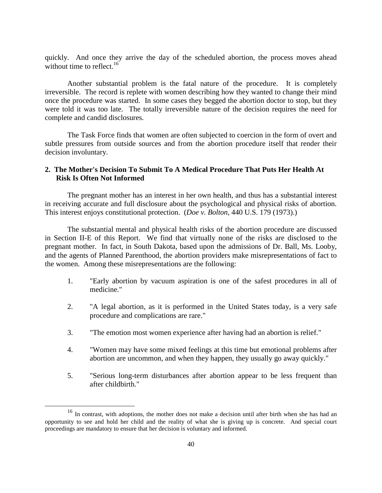quickly. And once they arrive the day of the scheduled abortion, the process moves ahead without time to reflect. $16$ 

 Another substantial problem is the fatal nature of the procedure. It is completely irreversible. The record is replete with women describing how they wanted to change their mind once the procedure was started. In some cases they begged the abortion doctor to stop, but they were told it was too late. The totally irreversible nature of the decision requires the need for complete and candid disclosures.

 The Task Force finds that women are often subjected to coercion in the form of overt and subtle pressures from outside sources and from the abortion procedure itself that render their decision involuntary.

# **2. The Mother's Decision To Submit To A Medical Procedure That Puts Her Health At Risk Is Often Not Informed**

 The pregnant mother has an interest in her own health, and thus has a substantial interest in receiving accurate and full disclosure about the psychological and physical risks of abortion. This interest enjoys constitutional protection. (*Doe v. Bolton*, 440 U.S. 179 (1973).)

 The substantial mental and physical health risks of the abortion procedure are discussed in Section II-E of this Report. We find that virtually none of the risks are disclosed to the pregnant mother. In fact, in South Dakota, based upon the admissions of Dr. Ball, Ms. Looby, and the agents of Planned Parenthood, the abortion providers make misrepresentations of fact to the women. Among these misrepresentations are the following:

- 1. "Early abortion by vacuum aspiration is one of the safest procedures in all of medicine."
- 2. "A legal abortion, as it is performed in the United States today, is a very safe procedure and complications are rare."
- 3. "The emotion most women experience after having had an abortion is relief."
- 4. "Women may have some mixed feelings at this time but emotional problems after abortion are uncommon, and when they happen, they usually go away quickly."
- 5. "Serious long-term disturbances after abortion appear to be less frequent than after childbirth."

<sup>&</sup>lt;sup>16</sup> In contrast, with adoptions, the mother does not make a decision until after birth when she has had an opportunity to see and hold her child and the reality of what she is giving up is concrete. And special court proceedings are mandatory to ensure that her decision is voluntary and informed.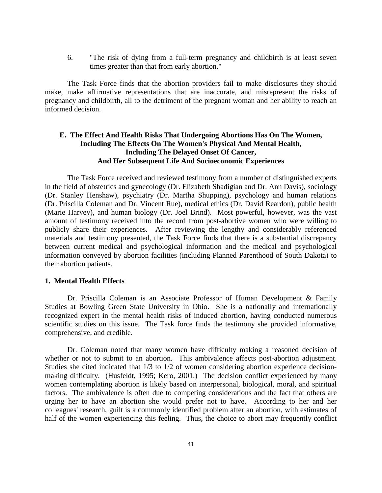6. "The risk of dying from a full-term pregnancy and childbirth is at least seven times greater than that from early abortion."

 The Task Force finds that the abortion providers fail to make disclosures they should make, make affirmative representations that are inaccurate, and misrepresent the risks of pregnancy and childbirth, all to the detriment of the pregnant woman and her ability to reach an informed decision.

# **E. The Effect And Health Risks That Undergoing Abortions Has On The Women, Including The Effects On The Women's Physical And Mental Health, Including The Delayed Onset Of Cancer, And Her Subsequent Life And Socioeconomic Experiences**

 The Task Force received and reviewed testimony from a number of distinguished experts in the field of obstetrics and gynecology (Dr. Elizabeth Shadigian and Dr. Ann Davis), sociology (Dr. Stanley Henshaw), psychiatry (Dr. Martha Shupping), psychology and human relations (Dr. Priscilla Coleman and Dr. Vincent Rue), medical ethics (Dr. David Reardon), public health (Marie Harvey), and human biology (Dr. Joel Brind). Most powerful, however, was the vast amount of testimony received into the record from post-abortive women who were willing to publicly share their experiences. After reviewing the lengthy and considerably referenced materials and testimony presented, the Task Force finds that there is a substantial discrepancy between current medical and psychological information and the medical and psychological information conveyed by abortion facilities (including Planned Parenthood of South Dakota) to their abortion patients.

#### **1. Mental Health Effects**

 Dr. Priscilla Coleman is an Associate Professor of Human Development & Family Studies at Bowling Green State University in Ohio. She is a nationally and internationally recognized expert in the mental health risks of induced abortion, having conducted numerous scientific studies on this issue. The Task force finds the testimony she provided informative, comprehensive, and credible.

 Dr. Coleman noted that many women have difficulty making a reasoned decision of whether or not to submit to an abortion. This ambivalence affects post-abortion adjustment. Studies she cited indicated that 1/3 to 1/2 of women considering abortion experience decisionmaking difficulty. (Husfeldt, 1995; Kero, 2001.) The decision conflict experienced by many women contemplating abortion is likely based on interpersonal, biological, moral, and spiritual factors. The ambivalence is often due to competing considerations and the fact that others are urging her to have an abortion she would prefer not to have. According to her and her colleagues' research, guilt is a commonly identified problem after an abortion, with estimates of half of the women experiencing this feeling. Thus, the choice to abort may frequently conflict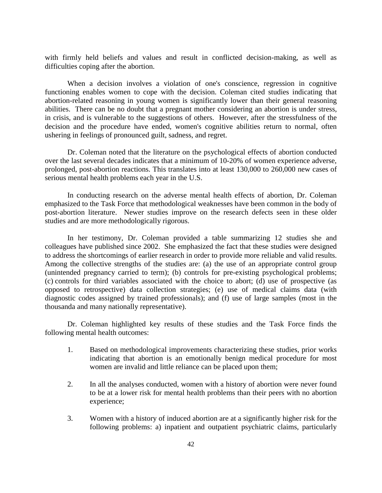with firmly held beliefs and values and result in conflicted decision-making, as well as difficulties coping after the abortion.

 When a decision involves a violation of one's conscience, regression in cognitive functioning enables women to cope with the decision. Coleman cited studies indicating that abortion-related reasoning in young women is significantly lower than their general reasoning abilities. There can be no doubt that a pregnant mother considering an abortion is under stress, in crisis, and is vulnerable to the suggestions of others. However, after the stressfulness of the decision and the procedure have ended, women's cognitive abilities return to normal, often ushering in feelings of pronounced guilt, sadness, and regret.

 Dr. Coleman noted that the literature on the psychological effects of abortion conducted over the last several decades indicates that a minimum of 10-20% of women experience adverse, prolonged, post-abortion reactions. This translates into at least 130,000 to 260,000 new cases of serious mental health problems each year in the U.S.

 In conducting research on the adverse mental health effects of abortion, Dr. Coleman emphasized to the Task Force that methodological weaknesses have been common in the body of post-abortion literature. Newer studies improve on the research defects seen in these older studies and are more methodologically rigorous.

 In her testimony, Dr. Coleman provided a table summarizing 12 studies she and colleagues have published since 2002. She emphasized the fact that these studies were designed to address the shortcomings of earlier research in order to provide more reliable and valid results. Among the collective strengths of the studies are: (a) the use of an appropriate control group (unintended pregnancy carried to term); (b) controls for pre-existing psychological problems; (c) controls for third variables associated with the choice to abort; (d) use of prospective (as opposed to retrospective) data collection strategies; (e) use of medical claims data (with diagnostic codes assigned by trained professionals); and (f) use of large samples (most in the thousanda and many nationally representative).

 Dr. Coleman highlighted key results of these studies and the Task Force finds the following mental health outcomes:

- 1. Based on methodological improvements characterizing these studies, prior works indicating that abortion is an emotionally benign medical procedure for most women are invalid and little reliance can be placed upon them;
- 2. In all the analyses conducted, women with a history of abortion were never found to be at a lower risk for mental health problems than their peers with no abortion experience;
- 3. Women with a history of induced abortion are at a significantly higher risk for the following problems: a) inpatient and outpatient psychiatric claims, particularly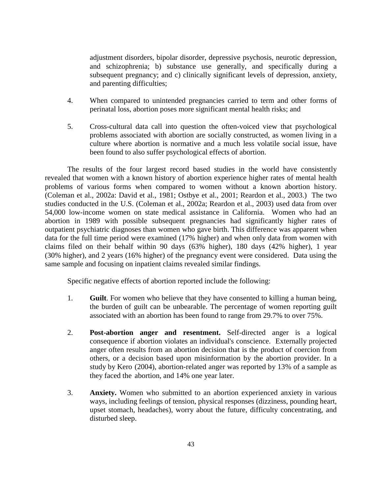adjustment disorders, bipolar disorder, depressive psychosis, neurotic depression, and schizophrenia; b) substance use generally, and specifically during a subsequent pregnancy; and c) clinically significant levels of depression, anxiety, and parenting difficulties;

- 4. When compared to unintended pregnancies carried to term and other forms of perinatal loss, abortion poses more significant mental health risks; and
- 5. Cross-cultural data call into question the often-voiced view that psychological problems associated with abortion are socially constructed, as women living in a culture where abortion is normative and a much less volatile social issue, have been found to also suffer psychological effects of abortion.

 The results of the four largest record based studies in the world have consistently revealed that women with a known history of abortion experience higher rates of mental health problems of various forms when compared to women without a known abortion history. (Coleman et al., 2002a: David et al., 1981; Ostbye et al., 2001; Reardon et al., 2003.) The two studies conducted in the U.S. (Coleman et al., 2002a; Reardon et al., 2003) used data from over 54,000 low-income women on state medical assistance in California. Women who had an abortion in 1989 with possible subsequent pregnancies had significantly higher rates of outpatient psychiatric diagnoses than women who gave birth. This difference was apparent when data for the full time period were examined (17% higher) and when only data from women with claims filed on their behalf within 90 days (63% higher), 180 days (42% higher), 1 year (30% higher), and 2 years (16% higher) of the pregnancy event were considered. Data using the same sample and focusing on inpatient claims revealed similar findings.

Specific negative effects of abortion reported include the following:

- 1. **Guilt**. For women who believe that they have consented to killing a human being, the burden of guilt can be unbearable. The percentage of women reporting guilt associated with an abortion has been found to range from 29.7% to over 75%.
- 2. **Post-abortion anger and resentment.** Self-directed anger is a logical consequence if abortion violates an individual's conscience. Externally projected anger often results from an abortion decision that is the product of coercion from others, or a decision based upon misinformation by the abortion provider. In a study by Kero (2004), abortion-related anger was reported by 13% of a sample as they faced the abortion, and 14% one year later.
- 3. **Anxiety.** Women who submitted to an abortion experienced anxiety in various ways, including feelings of tension, physical responses (dizziness, pounding heart, upset stomach, headaches), worry about the future, difficulty concentrating, and disturbed sleep.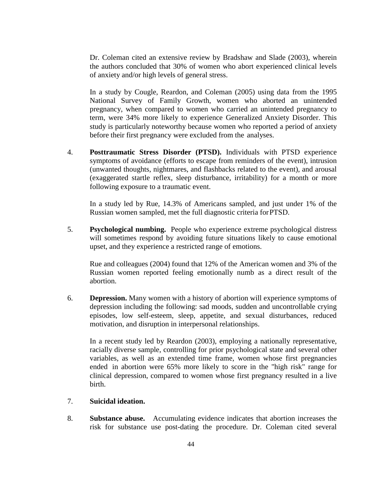Dr. Coleman cited an extensive review by Bradshaw and Slade (2003), wherein the authors concluded that 30% of women who abort experienced clinical levels of anxiety and/or high levels of general stress.

 In a study by Cougle, Reardon, and Coleman (2005) using data from the 1995 National Survey of Family Growth, women who aborted an unintended pregnancy, when compared to women who carried an unintended pregnancy to term, were 34% more likely to experience Generalized Anxiety Disorder. This study is particularly noteworthy because women who reported a period of anxiety before their first pregnancy were excluded from the analyses.

4. **Posttraumatic Stress Disorder (PTSD).** Individuals with PTSD experience symptoms of avoidance (efforts to escape from reminders of the event), intrusion (unwanted thoughts, nightmares, and flashbacks related to the event), and arousal (exaggerated startle reflex, sleep disturbance, irritability) for a month or more following exposure to a traumatic event.

 In a study led by Rue, 14.3% of Americans sampled, and just under 1% of the Russian women sampled, met the full diagnostic criteria for PTSD.

5. **Psychological numbing.** People who experience extreme psychological distress will sometimes respond by avoiding future situations likely to cause emotional upset, and they experience a restricted range of emotions.

 Rue and colleagues (2004) found that 12% of the American women and 3% of the Russian women reported feeling emotionally numb as a direct result of the abortion.

6. **Depression.** Many women with a history of abortion will experience symptoms of depression including the following: sad moods, sudden and uncontrollable crying episodes, low self-esteem, sleep, appetite, and sexual disturbances, reduced motivation, and disruption in interpersonal relationships.

 In a recent study led by Reardon (2003), employing a nationally representative, racially diverse sample, controlling for prior psychological state and several other variables, as well as an extended time frame, women whose first pregnancies ended in abortion were 65% more likely to score in the "high risk" range for clinical depression, compared to women whose first pregnancy resulted in a live birth.

# 7. **Suicidal ideation.**

8. **Substance abuse.** Accumulating evidence indicates that abortion increases the risk for substance use post-dating the procedure. Dr. Coleman cited several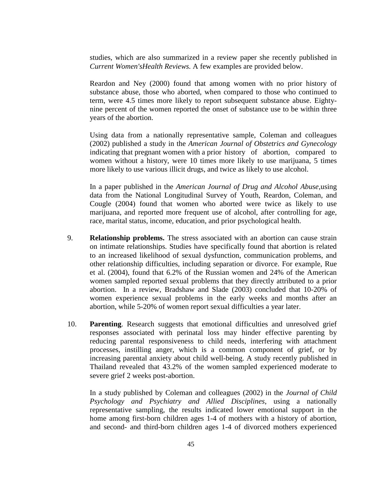studies, which are also summarized in a review paper she recently published in *Current Women'sHealth Reviews.* A few examples are provided below.

 Reardon and Ney (2000) found that among women with no prior history of substance abuse, those who aborted, when compared to those who continued to term, were 4.5 times more likely to report subsequent substance abuse. Eightynine percent of the women reported the onset of substance use to be within three years of the abortion.

 Using data from a nationally representative sample, Coleman and colleagues (2002) published a study in the *American Journal of Obstetrics and Gynecology*  indicating that pregnant women with a prior history of abortion, compared to women without a history, were 10 times more likely to use marijuana, 5 times more likely to use various illicit drugs, and twice as likely to use alcohol.

 In a paper published in the *American Journal of Drug and Alcohol Abuse,*using data from the National Longitudinal Survey of Youth, Reardon, Coleman, and Cougle (2004) found that women who aborted were twice as likely to use marijuana, and reported more frequent use of alcohol, after controlling for age, race, marital status, income, education, and prior psychological health.

- 9. **Relationship problems.** The stress associated with an abortion can cause strain on intimate relationships. Studies have specifically found that abortion is related to an increased likelihood of sexual dysfunction, communication problems, and other relationship difficulties, including separation or divorce. For example, Rue et al. (2004), found that 6.2% of the Russian women and 24% of the American women sampled reported sexual problems that they directly attributed to a prior abortion. In a review, Bradshaw and Slade (2003) concluded that 10-20% of women experience sexual problems in the early weeks and months after an abortion, while 5-20% of women report sexual difficulties a year later.
- 10. **Parenting**. Research suggests that emotional difficulties and unresolved grief responses associated with perinatal loss may hinder effective parenting by reducing parental responsiveness to child needs, interfering with attachment processes, instilling anger, which is a common component of grief, or by increasing parental anxiety about child well-being. A study recently published in Thailand revealed that 43.2% of the women sampled experienced moderate to severe grief 2 weeks post-abortion.

 In a study published by Coleman and colleagues (2002) in the *Journal of Child Psychology and Psychiatry and Allied Disciplines*, using a nationally representative sampling, the results indicated lower emotional support in the home among first-born children ages 1-4 of mothers with a history of abortion, and second- and third-born children ages 1-4 of divorced mothers experienced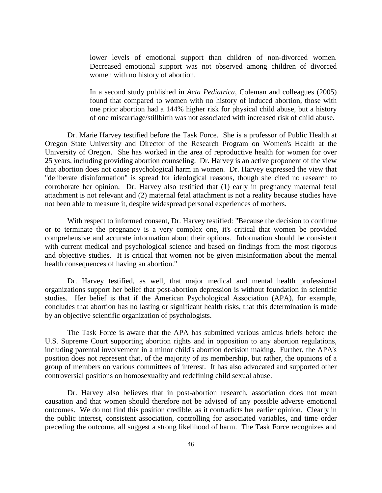lower levels of emotional support than children of non-divorced women. Decreased emotional support was not observed among children of divorced women with no history of abortion.

 In a second study published in *Acta Pediatrica*, Coleman and colleagues (2005) found that compared to women with no history of induced abortion, those with one prior abortion had a 144% higher risk for physical child abuse, but a history of one miscarriage/stillbirth was not associated with increased risk of child abuse.

 Dr. Marie Harvey testified before the Task Force. She is a professor of Public Health at Oregon State University and Director of the Research Program on Women's Health at the University of Oregon. She has worked in the area of reproductive health for women for over 25 years, including providing abortion counseling. Dr. Harvey is an active proponent of the view that abortion does not cause psychological harm in women. Dr. Harvey expressed the view that "deliberate disinformation" is spread for ideological reasons, though she cited no research to corroborate her opinion. Dr. Harvey also testified that (1) early in pregnancy maternal fetal attachment is not relevant and (2) maternal fetal attachment is not a reality because studies have not been able to measure it, despite widespread personal experiences of mothers.

 With respect to informed consent, Dr. Harvey testified: "Because the decision to continue or to terminate the pregnancy is a very complex one, it's critical that women be provided comprehensive and accurate information about their options. Information should be consistent with current medical and psychological science and based on findings from the most rigorous and objective studies. It is critical that women not be given misinformation about the mental health consequences of having an abortion."

 Dr. Harvey testified, as well, that major medical and mental health professional organizations support her belief that post-abortion depression is without foundation in scientific studies. Her belief is that if the American Psychological Association (APA), for example, concludes that abortion has no lasting or significant health risks, that this determination is made by an objective scientific organization of psychologists.

 The Task Force is aware that the APA has submitted various amicus briefs before the U.S. Supreme Court supporting abortion rights and in opposition to any abortion regulations, including parental involvement in a minor child's abortion decision making. Further, the APA's position does not represent that, of the majority of its membership, but rather, the opinions of a group of members on various committees of interest. It has also advocated and supported other controversial positions on homosexuality and redefining child sexual abuse.

 Dr. Harvey also believes that in post-abortion research, association does not mean causation and that women should therefore not be advised of any possible adverse emotional outcomes. We do not find this position credible, as it contradicts her earlier opinion. Clearly in the public interest, consistent association, controlling for associated variables, and time order preceding the outcome, all suggest a strong likelihood of harm. The Task Force recognizes and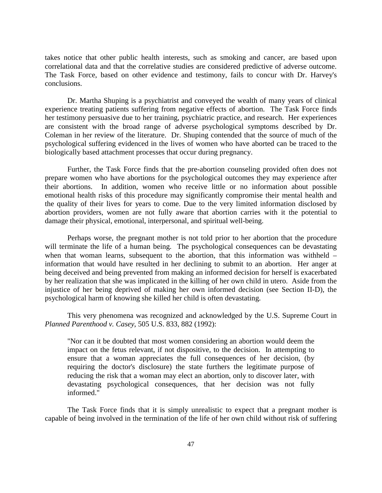takes notice that other public health interests, such as smoking and cancer, are based upon correlational data and that the correlative studies are considered predictive of adverse outcome. The Task Force, based on other evidence and testimony, fails to concur with Dr. Harvey's conclusions.

Dr. Martha Shuping is a psychiatrist and conveyed the wealth of many years of clinical experience treating patients suffering from negative effects of abortion. The Task Force finds her testimony persuasive due to her training, psychiatric practice, and research. Her experiences are consistent with the broad range of adverse psychological symptoms described by Dr. Coleman in her review of the literature. Dr. Shuping contended that the source of much of the psychological suffering evidenced in the lives of women who have aborted can be traced to the biologically based attachment processes that occur during pregnancy.

 Further, the Task Force finds that the pre-abortion counseling provided often does not prepare women who have abortions for the psychological outcomes they may experience after their abortions. In addition, women who receive little or no information about possible emotional health risks of this procedure may significantly compromise their mental health and the quality of their lives for years to come. Due to the very limited information disclosed by abortion providers, women are not fully aware that abortion carries with it the potential to damage their physical, emotional, interpersonal, and spiritual well-being.

 Perhaps worse, the pregnant mother is not told prior to her abortion that the procedure will terminate the life of a human being. The psychological consequences can be devastating when that woman learns, subsequent to the abortion, that this information was withheld – information that would have resulted in her declining to submit to an abortion. Her anger at being deceived and being prevented from making an informed decision for herself is exacerbated by her realization that she was implicated in the killing of her own child in utero. Aside from the injustice of her being deprived of making her own informed decision (see Section II-D), the psychological harm of knowing she killed her child is often devastating.

 This very phenomena was recognized and acknowledged by the U.S. Supreme Court in *Planned Parenthood v. Casey*, 505 U.S. 833, 882 (1992):

"Nor can it be doubted that most women considering an abortion would deem the impact on the fetus relevant, if not dispositive, to the decision. In attempting to ensure that a woman appreciates the full consequences of her decision, (by requiring the doctor's disclosure) the state furthers the legitimate purpose of reducing the risk that a woman may elect an abortion, only to discover later, with devastating psychological consequences, that her decision was not fully informed."

 The Task Force finds that it is simply unrealistic to expect that a pregnant mother is capable of being involved in the termination of the life of her own child without risk of suffering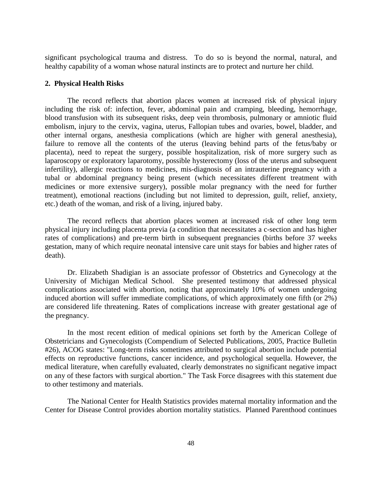significant psychological trauma and distress. To do so is beyond the normal, natural, and healthy capability of a woman whose natural instincts are to protect and nurture her child.

#### **2. Physical Health Risks**

 The record reflects that abortion places women at increased risk of physical injury including the risk of: infection, fever, abdominal pain and cramping, bleeding, hemorrhage, blood transfusion with its subsequent risks, deep vein thrombosis, pulmonary or amniotic fluid embolism, injury to the cervix, vagina, uterus, Fallopian tubes and ovaries, bowel, bladder, and other internal organs, anesthesia complications (which are higher with general anesthesia), failure to remove all the contents of the uterus (leaving behind parts of the fetus/baby or placenta), need to repeat the surgery, possible hospitalization, risk of more surgery such as laparoscopy or exploratory laparotomy, possible hysterectomy (loss of the uterus and subsequent infertility), allergic reactions to medicines, mis-diagnosis of an intrauterine pregnancy with a tubal or abdominal pregnancy being present (which necessitates different treatment with medicines or more extensive surgery), possible molar pregnancy with the need for further treatment), emotional reactions (including but not limited to depression, guilt, relief, anxiety, etc.) death of the woman, and risk of a living, injured baby.

The record reflects that abortion places women at increased risk of other long term physical injury including placenta previa (a condition that necessitates a c-section and has higher rates of complications) and pre-term birth in subsequent pregnancies (births before 37 weeks gestation, many of which require neonatal intensive care unit stays for babies and higher rates of death).

 Dr. Elizabeth Shadigian is an associate professor of Obstetrics and Gynecology at the University of Michigan Medical School. She presented testimony that addressed physical complications associated with abortion, noting that approximately 10% of women undergoing induced abortion will suffer immediate complications, of which approximately one fifth (or 2%) are considered life threatening. Rates of complications increase with greater gestational age of the pregnancy.

 In the most recent edition of medical opinions set forth by the American College of Obstetricians and Gynecologists (Compendium of Selected Publications, 2005, Practice Bulletin #26), ACOG states: "Long-term risks sometimes attributed to surgical abortion include potential effects on reproductive functions, cancer incidence, and psychological sequella. However, the medical literature, when carefully evaluated, clearly demonstrates no significant negative impact on any of these factors with surgical abortion." The Task Force disagrees with this statement due to other testimony and materials.

 The National Center for Health Statistics provides maternal mortality information and the Center for Disease Control provides abortion mortality statistics. Planned Parenthood continues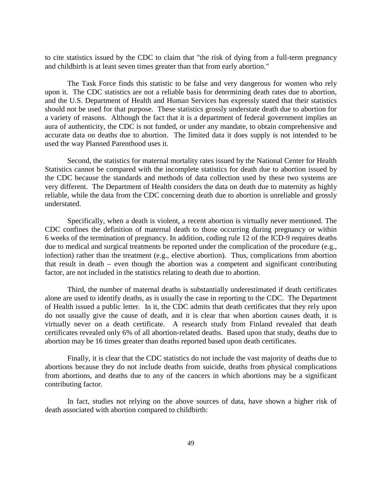to cite statistics issued by the CDC to claim that "the risk of dying from a full-term pregnancy and childbirth is at least seven times greater than that from early abortion."

 The Task Force finds this statistic to be false and very dangerous for women who rely upon it. The CDC statistics are not a reliable basis for determining death rates due to abortion, and the U.S. Department of Health and Human Services has expressly stated that their statistics should not be used for that purpose. These statistics grossly understate death due to abortion for a variety of reasons. Although the fact that it is a department of federal government implies an aura of authenticity, the CDC is not funded, or under any mandate, to obtain comprehensive and accurate data on deaths due to abortion. The limited data it does supply is not intended to be used the way Planned Parenthood uses it.

 Second, the statistics for maternal mortality rates issued by the National Center for Health Statistics cannot be compared with the incomplete statistics for death due to abortion issued by the CDC because the standards and methods of data collection used by these two systems are very different. The Department of Health considers the data on death due to maternity as highly reliable, while the data from the CDC concerning death due to abortion is unreliable and grossly understated.

 Specifically, when a death is violent, a recent abortion is virtually never mentioned. The CDC confines the definition of maternal death to those occurring during pregnancy or within 6 weeks of the termination of pregnancy. In addition, coding rule 12 of the ICD-9 requires deaths due to medical and surgical treatments be reported under the complication of the procedure (e.g., infection) rather than the treatment (e.g., elective abortion). Thus, complications from abortion that result in death – even though the abortion was a competent and significant contributing factor, are not included in the statistics relating to death due to abortion.

 Third, the number of maternal deaths is substantially underestimated if death certificates alone are used to identify deaths, as is usually the case in reporting to the CDC. The Department of Health issued a public letter. In it, the CDC admits that death certificates that they rely upon do not usually give the cause of death, and it is clear that when abortion causes death, it is virtually never on a death certificate. A research study from Finland revealed that death certificates revealed only 6% of all abortion-related deaths. Based upon that study, deaths due to abortion may be 16 times greater than deaths reported based upon death certificates.

 Finally, it is clear that the CDC statistics do not include the vast majority of deaths due to abortions because they do not include deaths from suicide, deaths from physical complications from abortions, and deaths due to any of the cancers in which abortions may be a significant contributing factor.

 In fact, studies not relying on the above sources of data, have shown a higher risk of death associated with abortion compared to childbirth: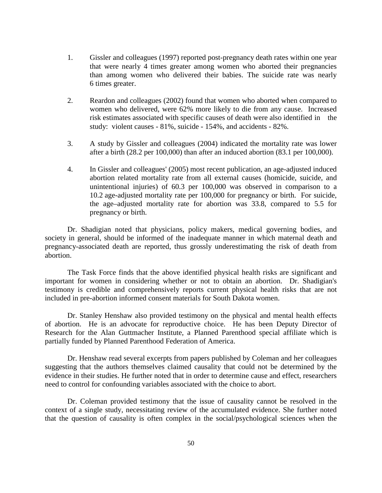- 1. Gissler and colleagues (1997) reported post-pregnancy death rates within one year that were nearly 4 times greater among women who aborted their pregnancies than among women who delivered their babies. The suicide rate was nearly 6 times greater.
- 2. Reardon and colleagues (2002) found that women who aborted when compared to women who delivered, were 62% more likely to die from any cause. Increased risk estimates associated with specific causes of death were also identified in the study: violent causes - 81%, suicide - 154%, and accidents - 82%.
- 3. A study by Gissler and colleagues (2004) indicated the mortality rate was lower after a birth (28.2 per 100,000) than after an induced abortion (83.1 per 100,000).
- 4. In Gissler and colleagues' (2005) most recent publication, an age-adjusted induced abortion related mortality rate from all external causes (homicide, suicide, and unintentional injuries) of 60.3 per 100,000 was observed in comparison to a 10.2 age-adjusted mortality rate per 100,000 for pregnancy or birth. For suicide, the age–adjusted mortality rate for abortion was 33.8, compared to 5.5 for pregnancy or birth.

 Dr. Shadigian noted that physicians, policy makers, medical governing bodies, and society in general, should be informed of the inadequate manner in which maternal death and pregnancy-associated death are reported, thus grossly underestimating the risk of death from abortion.

 The Task Force finds that the above identified physical health risks are significant and important for women in considering whether or not to obtain an abortion. Dr. Shadigian's testimony is credible and comprehensively reports current physical health risks that are not included in pre-abortion informed consent materials for South Dakota women.

Dr. Stanley Henshaw also provided testimony on the physical and mental health effects of abortion. He is an advocate for reproductive choice. He has been Deputy Director of Research for the Alan Guttmacher Institute, a Planned Parenthood special affiliate which is partially funded by Planned Parenthood Federation of America.

 Dr. Henshaw read several excerpts from papers published by Coleman and her colleagues suggesting that the authors themselves claimed causality that could not be determined by the evidence in their studies. He further noted that in order to determine cause and effect, researchers need to control for confounding variables associated with the choice to abort.

 Dr. Coleman provided testimony that the issue of causality cannot be resolved in the context of a single study, necessitating review of the accumulated evidence. She further noted that the question of causality is often complex in the social/psychological sciences when the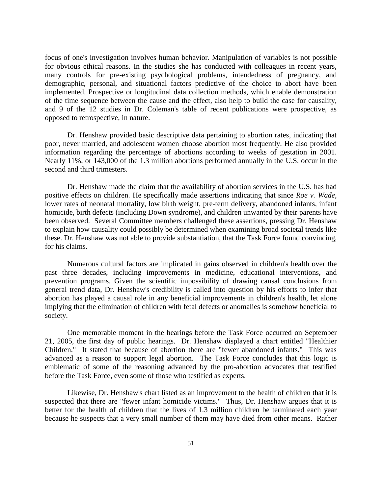focus of one's investigation involves human behavior. Manipulation of variables is not possible for obvious ethical reasons. In the studies she has conducted with colleagues in recent years, many controls for pre-existing psychological problems, intendedness of pregnancy, and demographic, personal, and situational factors predictive of the choice to abort have been implemented. Prospective or longitudinal data collection methods, which enable demonstration of the time sequence between the cause and the effect, also help to build the case for causality, and 9 of the 12 studies in Dr. Coleman's table of recent publications were prospective, as opposed to retrospective, in nature.

 Dr. Henshaw provided basic descriptive data pertaining to abortion rates, indicating that poor, never married, and adolescent women choose abortion most frequently. He also provided information regarding the percentage of abortions according to weeks of gestation in 2001. Nearly 11%, or 143,000 of the 1.3 million abortions performed annually in the U.S. occur in the second and third trimesters.

 Dr. Henshaw made the claim that the availability of abortion services in the U.S. has had positive effects on children. He specifically made assertions indicating that since *Roe v. Wade*, lower rates of neonatal mortality, low birth weight, pre-term delivery, abandoned infants, infant homicide, birth defects (including Down syndrome), and children unwanted by their parents have been observed. Several Committee members challenged these assertions, pressing Dr. Henshaw to explain how causality could possibly be determined when examining broad societal trends like these. Dr. Henshaw was not able to provide substantiation, that the Task Force found convincing, for his claims.

 Numerous cultural factors are implicated in gains observed in children's health over the past three decades, including improvements in medicine, educational interventions, and prevention programs. Given the scientific impossibility of drawing causal conclusions from general trend data, Dr. Henshaw's credibility is called into question by his efforts to infer that abortion has played a causal role in any beneficial improvements in children's health, let alone implying that the elimination of children with fetal defects or anomalies is somehow beneficial to society.

 One memorable moment in the hearings before the Task Force occurred on September 21, 2005, the first day of public hearings. Dr. Henshaw displayed a chart entitled "Healthier Children." It stated that because of abortion there are "fewer abandoned infants." This was advanced as a reason to support legal abortion. The Task Force concludes that this logic is emblematic of some of the reasoning advanced by the pro-abortion advocates that testified before the Task Force, even some of those who testified as experts.

 Likewise, Dr. Henshaw's chart listed as an improvement to the health of children that it is suspected that there are "fewer infant homicide victims." Thus, Dr. Henshaw argues that it is better for the health of children that the lives of 1.3 million children be terminated each year because he suspects that a very small number of them may have died from other means. Rather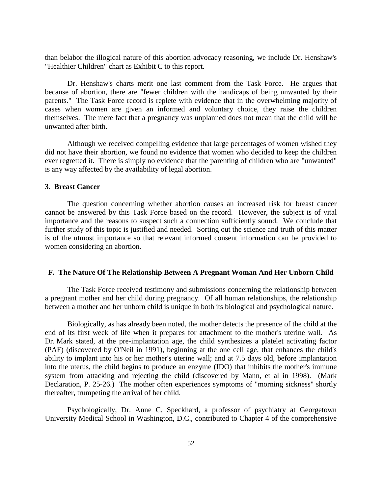than belabor the illogical nature of this abortion advocacy reasoning, we include Dr. Henshaw's "Healthier Children" chart as Exhibit C to this report.

 Dr. Henshaw's charts merit one last comment from the Task Force. He argues that because of abortion, there are "fewer children with the handicaps of being unwanted by their parents." The Task Force record is replete with evidence that in the overwhelming majority of cases when women are given an informed and voluntary choice, they raise the children themselves. The mere fact that a pregnancy was unplanned does not mean that the child will be unwanted after birth.

 Although we received compelling evidence that large percentages of women wished they did not have their abortion, we found no evidence that women who decided to keep the children ever regretted it. There is simply no evidence that the parenting of children who are "unwanted" is any way affected by the availability of legal abortion.

#### **3. Breast Cancer**

 The question concerning whether abortion causes an increased risk for breast cancer cannot be answered by this Task Force based on the record. However, the subject is of vital importance and the reasons to suspect such a connection sufficiently sound. We conclude that further study of this topic is justified and needed. Sorting out the science and truth of this matter is of the utmost importance so that relevant informed consent information can be provided to women considering an abortion.

#### **F. The Nature Of The Relationship Between A Pregnant Woman And Her Unborn Child**

 The Task Force received testimony and submissions concerning the relationship between a pregnant mother and her child during pregnancy. Of all human relationships, the relationship between a mother and her unborn child is unique in both its biological and psychological nature.

 Biologically, as has already been noted, the mother detects the presence of the child at the end of its first week of life when it prepares for attachment to the mother's uterine wall. As Dr. Mark stated, at the pre-implantation age, the child synthesizes a platelet activating factor (PAF) (discovered by O'Neil in 1991), beginning at the one cell age, that enhances the child's ability to implant into his or her mother's uterine wall; and at 7.5 days old, before implantation into the uterus, the child begins to produce an enzyme (IDO) that inhibits the mother's immune system from attacking and rejecting the child (discovered by Mann, et al in 1998). (Mark Declaration, P. 25-26.) The mother often experiences symptoms of "morning sickness" shortly thereafter, trumpeting the arrival of her child.

 Psychologically, Dr. Anne C. Speckhard, a professor of psychiatry at Georgetown University Medical School in Washington, D.C., contributed to Chapter 4 of the comprehensive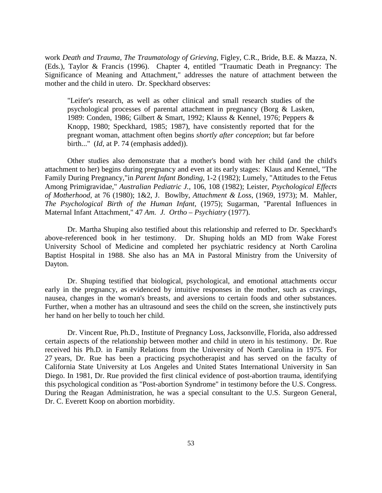work *Death and Trauma, The Traumatology of Grieving*, Figley, C.R., Bride, B.E. & Mazza, N. (Eds.), Taylor & Francis (1996). Chapter 4, entitled "Traumatic Death in Pregnancy: The Significance of Meaning and Attachment," addresses the nature of attachment between the mother and the child in utero. Dr. Speckhard observes:

"Leifer's research, as well as other clinical and small research studies of the psychological processes of parental attachment in pregnancy (Borg & Lasken, 1989: Conden, 1986; Gilbert & Smart, 1992; Klauss & Kennel, 1976; Peppers & Knopp, 1980; Speckhard, 1985; 1987), have consistently reported that for the pregnant woman, attachment often begins *shortly after conception*; but far before birth..." (*Id*, at P. 74 (emphasis added)).

 Other studies also demonstrate that a mother's bond with her child (and the child's attachment to her) begins during pregnancy and even at its early stages: Klaus and Kennel, "The Family During Pregnancy,"in *Parent Infant Bonding*, 1-2 (1982); Lumely, "Attitudes to the Fetus Among Primigravidae," *Australian Pediatric J.*, 106, 108 (1982); Leister, *Psychological Effects of Motherhood*, at 76 (1980); 1&2, J. Bowlby, *Attachment & Loss*, (1969, 1973); M. Mahler, *The Psychological Birth of the Human Infant*, (1975); Sugarman, "Parental Influences in Maternal Infant Attachment," 47 *Am. J. Ortho – Psychiatry* (1977).

 Dr. Martha Shuping also testified about this relationship and referred to Dr. Speckhard's above-referenced book in her testimony. Dr. Shuping holds an MD from Wake Forest University School of Medicine and completed her psychiatric residency at North Carolina Baptist Hospital in 1988. She also has an MA in Pastoral Ministry from the University of Dayton.

 Dr. Shuping testified that biological, psychological, and emotional attachments occur early in the pregnancy, as evidenced by intuitive responses in the mother, such as cravings, nausea, changes in the woman's breasts, and aversions to certain foods and other substances. Further, when a mother has an ultrasound and sees the child on the screen, she instinctively puts her hand on her belly to touch her child.

 Dr. Vincent Rue, Ph.D., Institute of Pregnancy Loss, Jacksonville, Florida, also addressed certain aspects of the relationship between mother and child in utero in his testimony. Dr. Rue received his Ph.D. in Family Relations from the University of North Carolina in 1975. For 27 years, Dr. Rue has been a practicing psychotherapist and has served on the faculty of California State University at Los Angeles and United States International University in San Diego. In 1981, Dr. Rue provided the first clinical evidence of post-abortion trauma, identifying this psychological condition as "Post-abortion Syndrome" in testimony before the U.S. Congress. During the Reagan Administration, he was a special consultant to the U.S. Surgeon General, Dr. C. Everett Koop on abortion morbidity.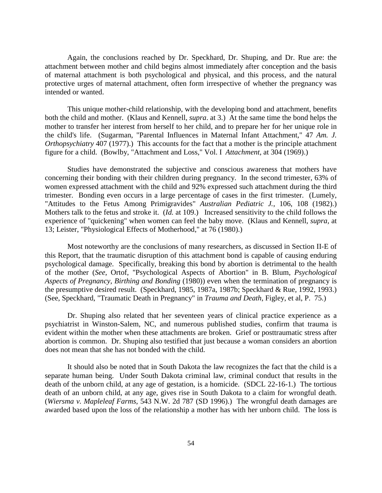Again, the conclusions reached by Dr. Speckhard, Dr. Shuping, and Dr. Rue are: the attachment between mother and child begins almost immediately after conception and the basis of maternal attachment is both psychological and physical, and this process, and the natural protective urges of maternal attachment, often form irrespective of whether the pregnancy was intended or wanted.

 This unique mother-child relationship, with the developing bond and attachment, benefits both the child and mother. (Klaus and Kennell, *supra*. at 3.) At the same time the bond helps the mother to transfer her interest from herself to her child, and to prepare her for her unique role in the child's life. (Sugarman, "Parental Influences in Maternal Infant Attachment," 47 *Am. J. Orthopsychiatry* 407 (1977).) This accounts for the fact that a mother is the principle attachment figure for a child. (Bowlby, "Attachment and Loss," Vol. I *Attachment*, at 304 (1969).)

 Studies have demonstrated the subjective and conscious awareness that mothers have concerning their bonding with their children during pregnancy. In the second trimester, 63% of women expressed attachment with the child and 92% expressed such attachment during the third trimester. Bonding even occurs in a large percentage of cases in the first trimester. (Lumely, "Attitudes to the Fetus Among Primigravides" *Australian Pediatric J.*, 106, 108 (1982).) Mothers talk to the fetus and stroke it. (*Id.* at 109.) Increased sensitivity to the child follows the experience of "quickening" when women can feel the baby move. (Klaus and Kennell, *supra,* at 13; Leister, "Physiological Effects of Motherhood," at 76 (1980).)

 Most noteworthy are the conclusions of many researchers, as discussed in Section II-E of this Report, that the traumatic disruption of this attachment bond is capable of causing enduring psychological damage. Specifically, breaking this bond by abortion is detrimental to the health of the mother (*See*, Ortof, "Psychological Aspects of Abortion" in B. Blum, *Psychological Aspects of Pregnancy, Birthing and Bonding* (1980)) even when the termination of pregnancy is the presumptive desired result. (Speckhard, 1985, 1987a, 1987b; Speckhard & Rue, 1992, 1993.) (See, Speckhard, "Traumatic Death in Pregnancy" in *Trauma and Death*, Figley, et al, P. 75.)

 Dr. Shuping also related that her seventeen years of clinical practice experience as a psychiatrist in Winston-Salem, NC, and numerous published studies, confirm that trauma is evident within the mother when these attachments are broken. Grief or posttraumatic stress after abortion is common. Dr. Shuping also testified that just because a woman considers an abortion does not mean that she has not bonded with the child.

 It should also be noted that in South Dakota the law recognizes the fact that the child is a separate human being. Under South Dakota criminal law, criminal conduct that results in the death of the unborn child, at any age of gestation, is a homicide. (SDCL 22-16-1.) The tortious death of an unborn child, at any age, gives rise in South Dakota to a claim for wrongful death. (*Wiersma v. Mapleleaf Farms*, 543 N.W. 2d 787 (SD 1996).) The wrongful death damages are awarded based upon the loss of the relationship a mother has with her unborn child. The loss is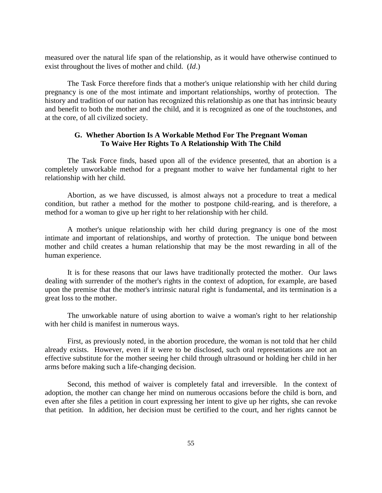measured over the natural life span of the relationship, as it would have otherwise continued to exist throughout the lives of mother and child. (*Id*.)

 The Task Force therefore finds that a mother's unique relationship with her child during pregnancy is one of the most intimate and important relationships, worthy of protection. The history and tradition of our nation has recognized this relationship as one that has intrinsic beauty and benefit to both the mother and the child, and it is recognized as one of the touchstones, and at the core, of all civilized society.

# **G. Whether Abortion Is A Workable Method For The Pregnant Woman To Waive Her Rights To A Relationship With The Child**

 The Task Force finds, based upon all of the evidence presented, that an abortion is a completely unworkable method for a pregnant mother to waive her fundamental right to her relationship with her child.

 Abortion, as we have discussed, is almost always not a procedure to treat a medical condition, but rather a method for the mother to postpone child-rearing, and is therefore, a method for a woman to give up her right to her relationship with her child.

 A mother's unique relationship with her child during pregnancy is one of the most intimate and important of relationships, and worthy of protection. The unique bond between mother and child creates a human relationship that may be the most rewarding in all of the human experience.

 It is for these reasons that our laws have traditionally protected the mother. Our laws dealing with surrender of the mother's rights in the context of adoption, for example, are based upon the premise that the mother's intrinsic natural right is fundamental, and its termination is a great loss to the mother.

 The unworkable nature of using abortion to waive a woman's right to her relationship with her child is manifest in numerous ways.

 First, as previously noted, in the abortion procedure, the woman is not told that her child already exists. However, even if it were to be disclosed, such oral representations are not an effective substitute for the mother seeing her child through ultrasound or holding her child in her arms before making such a life-changing decision.

 Second, this method of waiver is completely fatal and irreversible. In the context of adoption, the mother can change her mind on numerous occasions before the child is born, and even after she files a petition in court expressing her intent to give up her rights, she can revoke that petition. In addition, her decision must be certified to the court, and her rights cannot be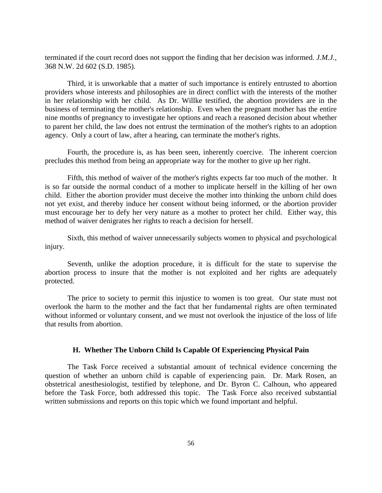terminated if the court record does not support the finding that her decision was informed. *J.M.J.*, 368 N.W. 2d 602 (S.D. 1985).

 Third, it is unworkable that a matter of such importance is entirely entrusted to abortion providers whose interests and philosophies are in direct conflict with the interests of the mother in her relationship with her child. As Dr. Willke testified, the abortion providers are in the business of terminating the mother's relationship. Even when the pregnant mother has the entire nine months of pregnancy to investigate her options and reach a reasoned decision about whether to parent her child, the law does not entrust the termination of the mother's rights to an adoption agency. Only a court of law, after a hearing, can terminate the mother's rights.

 Fourth, the procedure is, as has been seen, inherently coercive. The inherent coercion precludes this method from being an appropriate way for the mother to give up her right.

 Fifth, this method of waiver of the mother's rights expects far too much of the mother. It is so far outside the normal conduct of a mother to implicate herself in the killing of her own child. Either the abortion provider must deceive the mother into thinking the unborn child does not yet exist, and thereby induce her consent without being informed, or the abortion provider must encourage her to defy her very nature as a mother to protect her child. Either way, this method of waiver denigrates her rights to reach a decision for herself.

 Sixth, this method of waiver unnecessarily subjects women to physical and psychological injury.

 Seventh, unlike the adoption procedure, it is difficult for the state to supervise the abortion process to insure that the mother is not exploited and her rights are adequately protected.

 The price to society to permit this injustice to women is too great. Our state must not overlook the harm to the mother and the fact that her fundamental rights are often terminated without informed or voluntary consent, and we must not overlook the injustice of the loss of life that results from abortion.

#### **H. Whether The Unborn Child Is Capable Of Experiencing Physical Pain**

 The Task Force received a substantial amount of technical evidence concerning the question of whether an unborn child is capable of experiencing pain. Dr. Mark Rosen, an obstetrical anesthesiologist, testified by telephone, and Dr. Byron C. Calhoun, who appeared before the Task Force, both addressed this topic. The Task Force also received substantial written submissions and reports on this topic which we found important and helpful.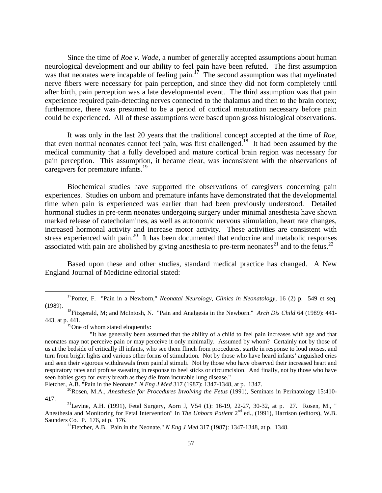Since the time of *Roe v. Wade,* a number of generally accepted assumptions about human neurological development and our ability to feel pain have been refuted. The first assumption was that neonates were incapable of feeling pain.<sup>17</sup> The second assumption was that myelinated nerve fibers were necessary for pain perception, and since they did not form completely until after birth, pain perception was a late developmental event. The third assumption was that pain experience required pain-detecting nerves connected to the thalamus and then to the brain cortex; furthermore, there was presumed to be a period of cortical maturation necessary before pain could be experienced. All of these assumptions were based upon gross histological observations.

 It was only in the last 20 years that the traditional concept accepted at the time of *Roe*, that even normal neonates cannot feel pain, was first challenged.18 It had been assumed by the medical community that a fully developed and mature cortical brain region was necessary for pain perception. This assumption, it became clear, was inconsistent with the observations of caregivers for premature infants.<sup>19</sup>

 Biochemical studies have supported the observations of caregivers concerning pain experiences. Studies on unborn and premature infants have demonstrated that the developmental time when pain is experienced was earlier than had been previously understood. Detailed hormonal studies in pre-term neonates undergoing surgery under minimal anesthesia have shown marked release of catecholamines, as well as autonomic nervous stimulation, heart rate changes, increased hormonal activity and increase motor activity. These activities are consistent with stress experienced with pain.<sup>20</sup> It has been documented that endocrine and metabolic responses associated with pain are abolished by giving anesthesia to pre-term neonates<sup>21</sup> and to the fetus.<sup>22</sup>

 Based upon these and other studies, standard medical practice has changed. A New England Journal of Medicine editorial stated:

<sup>19</sup>One of whom stated eloquently:

<sup>17</sup>Porter, F. "Pain in a Newborn," *Neonatal Neurology, Clinics in Neonatology*, 16 (2) p. 549 et seq. (1989). 18Fitzgerald, M; and McIntosh, N. "Pain and Analgesia in the Newborn." *Arch Dis Child* 64 (1989): 441-

<sup>443,</sup> at p. 441.

 <sup>&</sup>quot;It has generally been assumed that the ability of a child to feel pain increases with age and that neonates may not perceive pain or may perceive it only minimally. Assumed by whom? Certainly not by those of us at the bedside of critically ill infants, who see them flinch from procedures, startle in response to loud noises, and turn from bright lights and various other forms of stimulation. Not by those who have heard infants' anguished cries and seen their vigorous withdrawals from painful stimuli. Not by those who have observed their increased heart and respiratory rates and profuse sweating in response to heel sticks or circumcision. And finally, not by those who have seen babies gasp for every breath as they die from incurable lung disease."

Fletcher, A.B. "Pain in the Neonate." *N Eng J Med* 317 (1987): 1347-1348, at p. 1347.<br><sup>20</sup>Rosen, M.A., *Anesthesia for Procedures Involving the Fetus* (1991), Seminars in Perinatology 15:410-417. 21Levine, A.H. (1991), Fetal Surgery, Aorn J, V54 (1): 16-19, 22-27, 30-32, at p. 27. Rosen, M., "

Anesthesia and Monitoring for Fetal Intervention" In *The Unborn Patient* 2<sup>nd</sup> ed., (1991), Harrison (editors), W.B. Saunders Co. P. 176, at p. 176.

<sup>&</sup>lt;sup>22</sup>Fletcher, A.B. "Pain in the Neonate." *N Eng J Med* 317 (1987): 1347-1348, at p. 1348.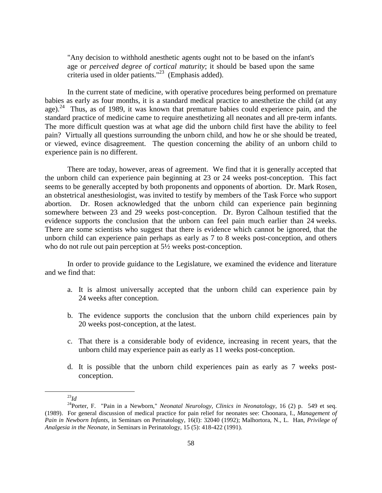"Any decision to withhold anesthetic agents ought not to be based on the infant's age or *perceived degree of cortical maturity*; it should be based upon the same criteria used in older patients."23 (Emphasis added).

 In the current state of medicine, with operative procedures being performed on premature babies as early as four months, it is a standard medical practice to anesthetize the child (at any age).<sup>24</sup> Thus, as of 1989, it was known that premature babies could experience pain, and the standard practice of medicine came to require anesthetizing all neonates and all pre-term infants. The more difficult question was at what age did the unborn child first have the ability to feel pain? Virtually all questions surrounding the unborn child, and how he or she should be treated, or viewed, evince disagreement. The question concerning the ability of an unborn child to experience pain is no different.

 There are today, however, areas of agreement. We find that it is generally accepted that the unborn child can experience pain beginning at 23 or 24 weeks post-conception. This fact seems to be generally accepted by both proponents and opponents of abortion. Dr. Mark Rosen, an obstetrical anesthesiologist, was invited to testify by members of the Task Force who support abortion. Dr. Rosen acknowledged that the unborn child can experience pain beginning somewhere between 23 and 29 weeks post-conception. Dr. Byron Calhoun testified that the evidence supports the conclusion that the unborn can feel pain much earlier than 24 weeks. There are some scientists who suggest that there is evidence which cannot be ignored, that the unborn child can experience pain perhaps as early as 7 to 8 weeks post-conception, and others who do not rule out pain perception at  $5\frac{1}{2}$  weeks post-conception.

 In order to provide guidance to the Legislature, we examined the evidence and literature and we find that:

- a. It is almost universally accepted that the unborn child can experience pain by 24 weeks after conception.
- b. The evidence supports the conclusion that the unborn child experiences pain by 20 weeks post-conception, at the latest.
- c. That there is a considerable body of evidence, increasing in recent years, that the unborn child may experience pain as early as 11 weeks post-conception.
- d. It is possible that the unborn child experiences pain as early as 7 weeks postconception.

<sup>23</sup>*Id*

<sup>24</sup>Porter, F. "Pain in a Newborn," *Neonatal Neurology, Clinics in Neonatology*, 16 (2) p. 549 et seq. (1989). For general discussion of medical practice for pain relief for neonates see: Choonara, I., *Management of Pain in Newborn Infants*, in Seminars on Perinatology, 16(I): 32040 (1992); Malhortora, N., L. Han, *Privilege of Analgesia in the Neonate*, in Seminars in Perinatology, 15 (5): 418-422 (1991).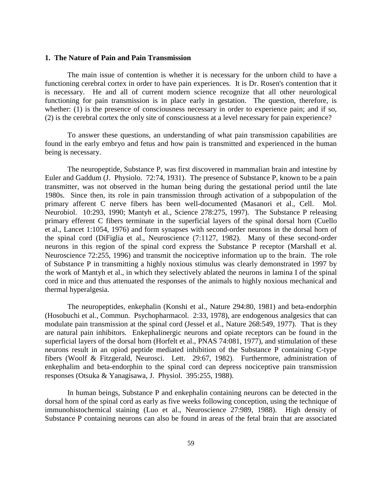#### **1. The Nature of Pain and Pain Transmission**

 The main issue of contention is whether it is necessary for the unborn child to have a functioning cerebral cortex in order to have pain experiences. It is Dr. Rosen's contention that it is necessary. He and all of current modern science recognize that all other neurological functioning for pain transmission is in place early in gestation. The question, therefore, is whether: (1) is the presence of consciousness necessary in order to experience pain; and if so, (2) is the cerebral cortex the only site of consciousness at a level necessary for pain experience?

 To answer these questions, an understanding of what pain transmission capabilities are found in the early embryo and fetus and how pain is transmitted and experienced in the human being is necessary.

 The neuropeptide, Substance P, was first discovered in mammalian brain and intestine by Euler and Gaddum (J. Physiolo. 72:74, 1931). The presence of Substance P, known to be a pain transmitter, was not observed in the human being during the gestational period until the late 1980s. Since then, its role in pain transmission through activation of a subpopulation of the primary afferent C nerve fibers has been well-documented (Masanori et al., Cell. Mol. Neurobiol. 10:293, 1990; Mantyh et al., Science 278:275, 1997). The Substance P releasing primary efferent C fibers terminate in the superficial layers of the spinal dorsal horn (Cuello et al., Lancet 1:1054, 1976) and form synapses with second-order neurons in the dorsal horn of the spinal cord (DiFiglia et al., Neuroscience (7:1127, 1982). Many of these second-order neurons in this region of the spinal cord express the Substance P receptor (Marshall et al. Neuroscience 72:255, 1996) and transmit the nociceptive information up to the brain. The role of Substance P in transmitting a highly noxious stimulus was clearly demonstrated in 1997 by the work of Mantyh et al., in which they selectively ablated the neurons in lamina I of the spinal cord in mice and thus attenuated the responses of the animals to highly noxious mechanical and thermal hyperalgesia.

 The neuropeptides, enkephalin (Konshi et al., Nature 294:80, 1981) and beta-endorphin (Hosobuchi et al., Commun. Psychopharmacol. 2:33, 1978), are endogenous analgesics that can modulate pain transmission at the spinal cord (Jessel et al., Nature 268:549, 1977). That is they are natural pain inhibitors. Enkephalinergic neurons and opiate receptors can be found in the superficial layers of the dorsal horn (Horfelt et al., PNAS 74:081, 1977), and stimulation of these neurons result in an opiod peptide mediated inhibition of the Substance P containing C-type fibers (Woolf & Fitzgerald, Neurosci. Lett. 29:67, 1982). Furthermore, administration of enkephalim and beta-endorphin to the spinal cord can depress nociceptive pain transmission responses (Otsuka & Yanagisawa, J. Physiol. 395:255, 1988).

 In human beings, Substance P and enkephalin containing neurons can be detected in the dorsal horn of the spinal cord as early as five weeks following conception, using the technique of immunohistochemical staining (Luo et al., Neuroscience 27:989, 1988). High density of Substance P containing neurons can also be found in areas of the fetal brain that are associated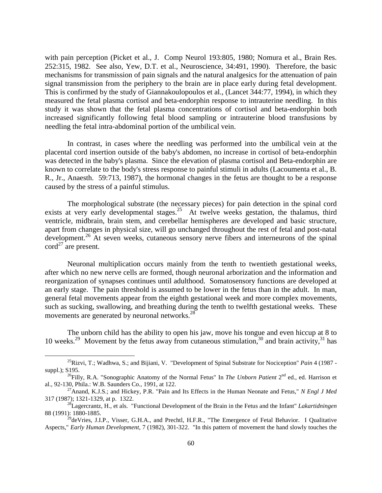with pain perception (Picket et al., J. Comp Neurol 193:805, 1980; Nomura et al., Brain Res. 252:315, 1982. See also, Yew, D.T. et al., Neuroscience, 34:491, 1990). Therefore, the basic mechanisms for transmission of pain signals and the natural analgesics for the attenuation of pain signal transmission from the periphery to the brain are in place early during fetal development. This is confirmed by the study of Giannakoulopoulos et al., (Lancet 344:77, 1994), in which they measured the fetal plasma cortisol and beta-endorphin response to intrauterine needling. In this study it was shown that the fetal plasma concentrations of cortisol and beta-endorphin both increased significantly following fetal blood sampling or intrauterine blood transfusions by needling the fetal intra-abdominal portion of the umbilical vein.

 In contrast, in cases where the needling was performed into the umbilical vein at the placental cord insertion outside of the baby's abdomen, no increase in cortisol of beta-endorphin was detected in the baby's plasma. Since the elevation of plasma cortisol and Beta-endorphin are known to correlate to the body's stress response to painful stimuli in adults (Lacoumenta et al., B. R., Jr., Anaesth. 59:713, 1987), the hormonal changes in the fetus are thought to be a response caused by the stress of a painful stimulus.

 The morphological substrate (the necessary pieces) for pain detection in the spinal cord exists at very early developmental stages.<sup>25</sup> At twelve weeks gestation, the thalamus, third ventricle, midbrain, brain stem, and cerebellar hemispheres are developed and basic structure, apart from changes in physical size, will go unchanged throughout the rest of fetal and post-natal development.<sup>26</sup> At seven weeks, cutaneous sensory nerve fibers and interneurons of the spinal  $\text{cord}^{27}$  are present.

 Neuronal multiplication occurs mainly from the tenth to twentieth gestational weeks, after which no new nerve cells are formed, though neuronal arborization and the information and reorganization of synapses continues until adulthood. Somatosensory functions are developed at an early stage. The pain threshold is assumed to be lower in the fetus than in the adult. In man, general fetal movements appear from the eighth gestational week and more complex movements, such as sucking, swallowing, and breathing during the tenth to twelfth gestational weeks. These movements are generated by neuronal networks.<sup>28</sup>

 The unborn child has the ability to open his jaw, move his tongue and even hiccup at 8 to 10 weeks.<sup>29</sup> Movement by the fetus away from cutaneous stimulation,<sup>30</sup> and brain activity,<sup>31</sup> has

<sup>25</sup>Rizvi, T.; Wadhwa, S.; and Bijiani, V. "Development of Spinal Substrate for Nociception" *Pain* 4 (1987 suppl.); S195.<br><sup>26</sup>Filly, R.A. "Sonographic Anatomy of the Normal Fetus" In *The Unborn Patient* 2<sup>nd</sup> ed., ed. Harrison et

al., 92-130, Phila.: W.B. Saunders Co., 1991, at 122.<br><sup>27</sup>Anand, K.J.S.; and Hickey, P.R. "Pain and Its Effects in the Human Neonate and Fetus," *N Engl J Med*<br>317 (1987); 1321-1329, at p. 1322.

<sup>&</sup>lt;sup>28</sup>Lagercrantz, H., et als. "Functional Development of the Brain in the Fetus and the Infant" *Lakartidningen* 88 (1991): 1880-1885.

<sup>&</sup>lt;sup>29</sup>deVries, J.I.P., Visser, G.H.A., and Prechtl, H.F.R., "The Emergence of Fetal Behavior. I Qualitative Aspects," *Early Human Development*, 7 (1982), 301-322. "In this pattern of movement the hand slowly touches the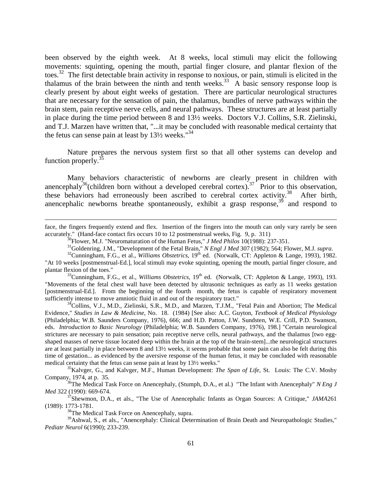been observed by the eighth week. At 8 weeks, local stimuli may elicit the following movements: squinting, opening the mouth, partial finger closure, and plantar flexion of the toes.<sup>32</sup> The first detectable brain activity in response to noxious, or pain, stimuli is elicited in the thalamus of the brain between the ninth and tenth weeks.<sup>33</sup> A basic sensory response loop is clearly present by about eight weeks of gestation. There are particular neurological structures that are necessary for the sensation of pain, the thalamus, bundles of nerve pathways within the brain stem, pain receptive nerve cells, and neural pathways. These structures are at least partially in place during the time period between 8 and 13½ weeks. Doctors V.J. Collins, S.R. Zielinski, and T.J. Marzen have written that, "...it may be concluded with reasonable medical certainty that the fetus can sense pain at least by  $13\frac{1}{2}$  weeks."<sup>34</sup>

 Nature prepares the nervous system first so that all other systems can develop and function properly. $3$ 

 Many behaviors characteristic of newborns are clearly present in children with anencephaly<sup>36</sup>(children born without a developed cerebral cortex).<sup>37</sup> Prior to this observation, these behaviors had erroneously been ascribed to cerebral cortex activity.<sup>38</sup> After birth, anencephalic newborns breathe spontaneously, exhibit a grasp response,  $3<sup>5</sup>$  and respond to

 $^{33}$ Cunningham, F.G., et al., *Williams Obstetrics*, 19<sup>th</sup> ed. (Norwalk, CT: Appleton & Lange, 1993), 193. "Movements of the fetal chest wall have been detected by ultrasonic techniques as early as 11 weeks gestation [postmenstrual-Ed.]. From the beginning of the fourth month, the fetus is capable of respiratory movement sufficiently intense to move amniotic fluid in and out of the respiratory tract."<br><sup>34</sup>Collins, V.J., M.D., Zielinski, S.R., M.D., and Marzen, T.J.M., "Fetal Pain and Abortion; The Medical

Evidence," *Studies in Law & Medicine*, No. 18. (1984) [See also: A.C. Guyton, *Textbook of Medical Physiology* (Philadelphia; W.B. Saunders Company, 1976), 666; and H.D. Patton, J.W. Sundsten, W.E. Crill, P.D. Swanson, eds. *Introduction to Basic Neurology* (Philadelphia; W.B. Saunders Company, 1976), 198.] "Certain neurological strictures are necessary to pain sensation; pain receptive nerve cells, neural pathways, and the thalamus [two eggshaped masses of nerve tissue located deep within the brain at the top of the brain-stem]...the neurological structures are at least partially in place between 8 and 13½ weeks, it seems probable that some pain can also be felt during this time of gestation... as evidenced by the aversive response of the human fetus, it may be concluded with reasonable medical certainty that the fetus can sense pain at least by 13½ weeks."<br><sup>35</sup>Kalvger, G., and Kalvger, M.F., Human Development: *The Span of Life*, St. Louis: The C.V. Mosby

<sup>39</sup>Ashwal, S., et als., "Anencephaly: Clinical Determination of Brain Death and Neuropathologic Studies," *Pediatr Neurol* 6(1990); 233-239.

face, the fingers frequently extend and flex. Insertion of the fingers into the mouth can only vary rarely be seen accurately." (Hand-face contact firs occurs 10 to 12 postmenstrual weeks, Fig. 9, p. 311)

<sup>&</sup>lt;sup>30</sup>Flower, M.J. "Neuromaturation of the Human Fetus," *J Med Philos* 10(1988): 237-351.<br><sup>31</sup>Goldenring, J.M., "Development of the Fetal Brain," *N Engl J Med* 307 (1982); 564; Flower, M.J. *supra*.<br><sup>32</sup>Cunningham, F.G.,

<sup>&</sup>quot;At 10 weeks [postmenstrual-Ed.], local stimuli may evoke squinting, opening the mouth, partial finger closure, and

Company, 1974, at p. 35.<br><sup>36</sup>The Medical Task Force on Anencephaly, (Stumph, D.A., et al.) "The Infant with Anencephaly" *N Eng J Med* 322 (1990): 669-674.

<sup>&</sup>lt;sup>37</sup>Shewmon, D.A., et als., "The Use of Anencephalic Infants as Organ Sources: A Critique," *JAMA*261 (1989): 1773-1781.<br> $38\text{The Medical Task Force on Anencephaly, supra.}$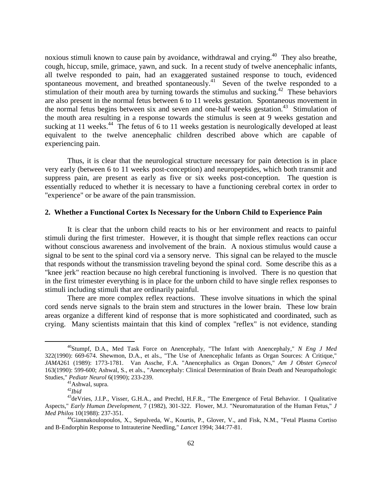noxious stimuli known to cause pain by avoidance, withdrawal and crying.<sup>40</sup> They also breathe, cough, hiccup, smile, grimace, yawn, and suck. In a recent study of twelve anencephalic infants, all twelve responded to pain, had an exaggerated sustained response to touch, evidenced spontaneous movement, and breathed spontaneously.<sup>41</sup> Seven of the twelve responded to a stimulation of their mouth area by turning towards the stimulus and sucking.<sup>42</sup> These behaviors are also present in the normal fetus between 6 to 11 weeks gestation. Spontaneous movement in the normal fetus begins between six and seven and one-half weeks gestation.<sup>43</sup> Stimulation of the mouth area resulting in a response towards the stimulus is seen at 9 weeks gestation and sucking at 11 weeks.<sup>44</sup> The fetus of 6 to 11 weeks gestation is neurologically developed at least equivalent to the twelve anencephalic children described above which are capable of experiencing pain.

 Thus, it is clear that the neurological structure necessary for pain detection is in place very early (between 6 to 11 weeks post-conception) and neuropeptides, which both transmit and suppress pain, are present as early as five or six weeks post-conception. The question is essentially reduced to whether it is necessary to have a functioning cerebral cortex in order to "experience" or be aware of the pain transmission.

#### **2. Whether a Functional Cortex Is Necessary for the Unborn Child to Experience Pain**

 It is clear that the unborn child reacts to his or her environment and reacts to painful stimuli during the first trimester. However, it is thought that simple reflex reactions can occur without conscious awareness and involvement of the brain. A noxious stimulus would cause a signal to be sent to the spinal cord via a sensory nerve. This signal can be relayed to the muscle that responds without the transmission traveling beyond the spinal cord. Some describe this as a "knee jerk" reaction because no high cerebral functioning is involved. There is no question that in the first trimester everything is in place for the unborn child to have single reflex responses to stimuli including stimuli that are ordinarily painful.

 There are more complex reflex reactions. These involve situations in which the spinal cord sends nerve signals to the brain stem and structures in the lower brain. These low brain areas organize a different kind of response that is more sophisticated and coordinated, such as crying. Many scientists maintain that this kind of complex "reflex" is not evidence, standing

<sup>40</sup>Stumpf, D.A., Med Task Force on Anencephaly, "The Infant with Anencephaly," *N Eng J Med* 322(1990): 669-674. Shewmon, D.A., et als., "The Use of Anencephalic Infants as Organ Sources: A Critique," *JAMA*261 (1989): 1773-1781. Van Assche, F.A. "Anencephalics as Organ Donors," *Am J Obstet Gynecol* 163(1990): 599-600; Ashwal, S., et als., "Anencephaly: Clinical Determination of Brain Death and Neuropathologic Studies," *Pediatr Neurol* 6(1990); 233-239.<br><sup>41</sup>Ashwal, supra.

 $^{42}$ *Ibid* 

<sup>&</sup>lt;sup>43</sup>deVries, J.I.P., Visser, G.H.A., and Prechtl, H.F.R., "The Emergence of Fetal Behavior. I Qualitative Aspects," *Early Human Development*, 7 (1982), 301-322. Flower, M.J. "Neuromaturation of the Human Fetus," *J Med Philos* 10(1988): 237-351.<br><sup>44</sup>Giannakoulopoulos, X., Sepulveda, W., Kourtis, P., Glover, V., and Fisk, N.M., "Fetal Plasma Cortiso

and B-Endorphin Response to Intrauterine Needling," *Lancet* 1994; 344:77-81.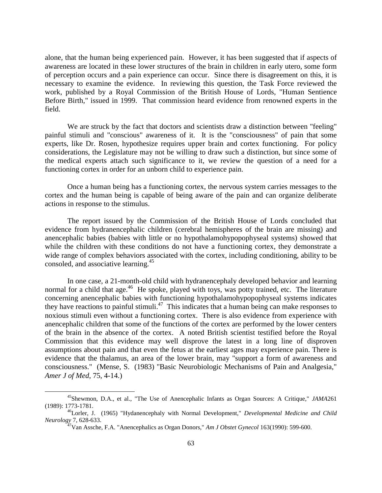alone, that the human being experienced pain. However, it has been suggested that if aspects of awareness are located in these lower structures of the brain in children in early utero, some form of perception occurs and a pain experience can occur. Since there is disagreement on this, it is necessary to examine the evidence. In reviewing this question, the Task Force reviewed the work, published by a Royal Commission of the British House of Lords, "Human Sentience Before Birth," issued in 1999. That commission heard evidence from renowned experts in the field.

 We are struck by the fact that doctors and scientists draw a distinction between "feeling" painful stimuli and "conscious" awareness of it. It is the "consciousness" of pain that some experts, like Dr. Rosen, hypothesize requires upper brain and cortex functioning. For policy considerations, the Legislature may not be willing to draw such a distinction, but since some of the medical experts attach such significance to it, we review the question of a need for a functioning cortex in order for an unborn child to experience pain.

 Once a human being has a functioning cortex, the nervous system carries messages to the cortex and the human being is capable of being aware of the pain and can organize deliberate actions in response to the stimulus.

 The report issued by the Commission of the British House of Lords concluded that evidence from hydranencephalic children (cerebral hemispheres of the brain are missing) and anencephalic babies (babies with little or no hypothalamohypopophyseal systems) showed that while the children with these conditions do not have a functioning cortex, they demonstrate a wide range of complex behaviors associated with the cortex, including conditioning, ability to be consoled, and associative learning.<sup>45</sup>

 In one case, a 21-month-old child with hydranencephaly developed behavior and learning normal for a child that age.<sup>46</sup> He spoke, played with toys, was potty trained, etc. The literature concerning anencephalic babies with functioning hypothalamohypopophyseal systems indicates they have reactions to painful stimuli.<sup>47</sup> This indicates that a human being can make responses to noxious stimuli even without a functioning cortex. There is also evidence from experience with anencephalic children that some of the functions of the cortex are performed by the lower centers of the brain in the absence of the cortex. A noted British scientist testified before the Royal Commission that this evidence may well disprove the latest in a long line of disproven assumptions about pain and that even the fetus at the earliest ages may experience pain. There is evidence that the thalamus, an area of the lower brain, may "support a form of awareness and consciousness." (Mense, S. (1983) "Basic Neurobiologic Mechanisms of Pain and Analgesia," *Amer J of Med*, 75, 4-14.)

<sup>45</sup>Shewmon, D.A., et al., "The Use of Anencephalic Infants as Organ Sources: A Critique," *JAMA*261 (1989): 1773-1781. 46Lorler, J. (1965) "Hydanencephaly with Normal Development," *Developmental Medicine and Child* 

*Neurology* 7, 628-633.

<sup>47</sup>Van Assche, F.A. "Anencephalics as Organ Donors," *Am J Obstet Gynecol* 163(1990): 599-600.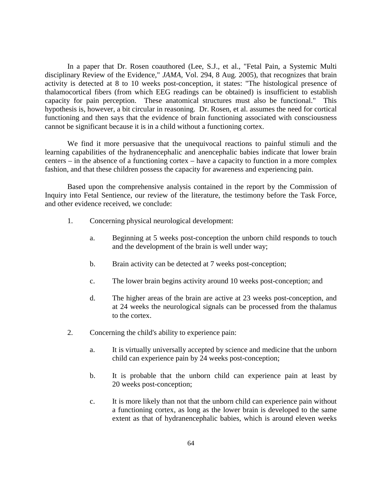In a paper that Dr. Rosen coauthored (Lee, S.J., et al., "Fetal Pain, a Systemic Multi disciplinary Review of the Evidence," *JAMA*, Vol. 294, 8 Aug. 2005), that recognizes that brain activity is detected at 8 to 10 weeks post-conception, it states: "The histological presence of thalamocortical fibers (from which EEG readings can be obtained) is insufficient to establish capacity for pain perception. These anatomical structures must also be functional." This hypothesis is, however, a bit circular in reasoning. Dr. Rosen, et al. assumes the need for cortical functioning and then says that the evidence of brain functioning associated with consciousness cannot be significant because it is in a child without a functioning cortex.

 We find it more persuasive that the unequivocal reactions to painful stimuli and the learning capabilities of the hydranencephalic and anencephalic babies indicate that lower brain centers – in the absence of a functioning cortex – have a capacity to function in a more complex fashion, and that these children possess the capacity for awareness and experiencing pain.

 Based upon the comprehensive analysis contained in the report by the Commission of Inquiry into Fetal Sentience, our review of the literature, the testimony before the Task Force, and other evidence received, we conclude:

- 1. Concerning physical neurological development:
	- a. Beginning at 5 weeks post-conception the unborn child responds to touch and the development of the brain is well under way;
	- b. Brain activity can be detected at 7 weeks post-conception;
	- c. The lower brain begins activity around 10 weeks post-conception; and
	- d. The higher areas of the brain are active at 23 weeks post-conception, and at 24 weeks the neurological signals can be processed from the thalamus to the cortex.
- 2. Concerning the child's ability to experience pain:
	- a. It is virtually universally accepted by science and medicine that the unborn child can experience pain by 24 weeks post-conception;
	- b. It is probable that the unborn child can experience pain at least by 20 weeks post-conception;
	- c. It is more likely than not that the unborn child can experience pain without a functioning cortex, as long as the lower brain is developed to the same extent as that of hydranencephalic babies, which is around eleven weeks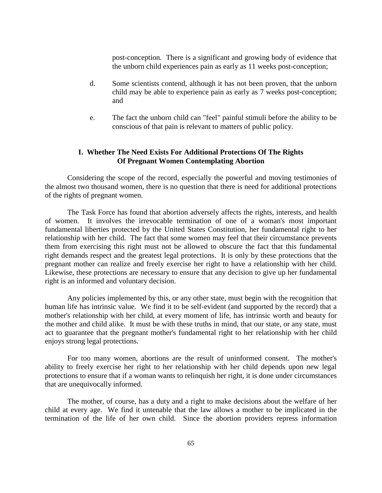post-conception. There is a significant and growing body of evidence that the unborn child experiences pain as early as 11 weeks post-conception;

- d. Some scientists contend, although it has not been proven, that the unborn child may be able to experience pain as early as 7 weeks post-conception; and
- e. The fact the unborn child can "feel" painful stimuli before the ability to be conscious of that pain is relevant to matters of public policy.

# **I. Whether The Need Exists For Additional Protections Of The Rights Of Pregnant Women Contemplating Abortion**

 Considering the scope of the record, especially the powerful and moving testimonies of the almost two thousand women, there is no question that there is need for additional protections of the rights of pregnant women.

 The Task Force has found that abortion adversely affects the rights, interests, and health of women. It involves the irrevocable termination of one of a woman's most important fundamental liberties protected by the United States Constitution, her fundamental right to her relationship with her child. The fact that some women may feel that their circumstance prevents them from exercising this right must not be allowed to obscure the fact that this fundamental right demands respect and the greatest legal protections. It is only by these protections that the pregnant mother can realize and freely exercise her right to have a relationship with her child. Likewise, these protections are necessary to ensure that any decision to give up her fundamental right is an informed and voluntary decision.

 Any policies implemented by this, or any other state, must begin with the recognition that human life has intrinsic value. We find it to be self-evident (and supported by the record) that a mother's relationship with her child, at every moment of life, has intrinsic worth and beauty for the mother and child alike. It must be with these truths in mind, that our state, or any state, must act to guarantee that the pregnant mother's fundamental right to her relationship with her child enjoys strong legal protections.

 For too many women, abortions are the result of uninformed consent. The mother's ability to freely exercise her right to her relationship with her child depends upon new legal protections to ensure that if a woman wants to relinquish her right, it is done under circumstances that are unequivocally informed.

 The mother, of course, has a duty and a right to make decisions about the welfare of her child at every age. We find it untenable that the law allows a mother to be implicated in the termination of the life of her own child. Since the abortion providers repress information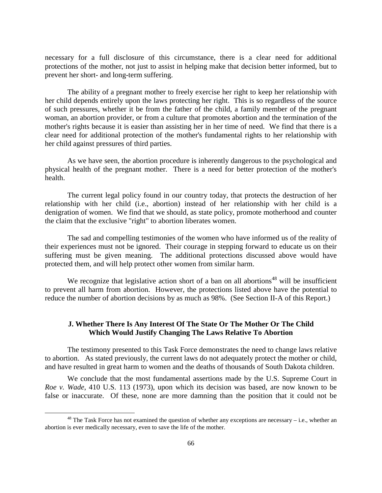necessary for a full disclosure of this circumstance, there is a clear need for additional protections of the mother, not just to assist in helping make that decision better informed, but to prevent her short- and long-term suffering.

 The ability of a pregnant mother to freely exercise her right to keep her relationship with her child depends entirely upon the laws protecting her right. This is so regardless of the source of such pressures, whether it be from the father of the child, a family member of the pregnant woman, an abortion provider, or from a culture that promotes abortion and the termination of the mother's rights because it is easier than assisting her in her time of need. We find that there is a clear need for additional protection of the mother's fundamental rights to her relationship with her child against pressures of third parties.

 As we have seen, the abortion procedure is inherently dangerous to the psychological and physical health of the pregnant mother. There is a need for better protection of the mother's health.

 The current legal policy found in our country today, that protects the destruction of her relationship with her child (i.e., abortion) instead of her relationship with her child is a denigration of women. We find that we should, as state policy, promote motherhood and counter the claim that the exclusive "right" to abortion liberates women.

 The sad and compelling testimonies of the women who have informed us of the reality of their experiences must not be ignored. Their courage in stepping forward to educate us on their suffering must be given meaning. The additional protections discussed above would have protected them, and will help protect other women from similar harm.

We recognize that legislative action short of a ban on all abortions<sup>48</sup> will be insufficient to prevent all harm from abortion. However, the protections listed above have the potential to reduce the number of abortion decisions by as much as 98%. (See Section II-A of this Report.)

# **J. Whether There Is Any Interest Of The State Or The Mother Or The Child Which Would Justify Changing The Laws Relative To Abortion**

 The testimony presented to this Task Force demonstrates the need to change laws relative to abortion. As stated previously, the current laws do not adequately protect the mother or child, and have resulted in great harm to women and the deaths of thousands of South Dakota children.

 We conclude that the most fundamental assertions made by the U.S. Supreme Court in *Roe v. Wade*, 410 U.S. 113 (1973), upon which its decision was based, are now known to be false or inaccurate. Of these, none are more damning than the position that it could not be

 $48$  The Task Force has not examined the question of whether any exceptions are necessary – i.e., whether an abortion is ever medically necessary, even to save the life of the mother.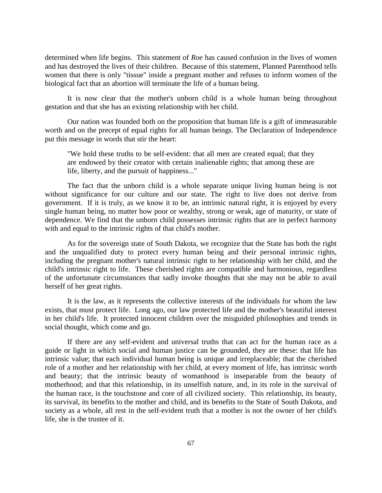determined when life begins. This statement of *Roe* has caused confusion in the lives of women and has destroyed the lives of their children. Because of this statement, Planned Parenthood tells women that there is only "tissue" inside a pregnant mother and refuses to inform women of the biological fact that an abortion will terminate the life of a human being.

 It is now clear that the mother's unborn child is a whole human being throughout gestation and that she has an existing relationship with her child.

 Our nation was founded both on the proposition that human life is a gift of immeasurable worth and on the precept of equal rights for all human beings. The Declaration of Independence put this message in words that stir the heart:

"We hold these truths to be self-evident: that all men are created equal; that they are endowed by their creator with certain inalienable rights; that among these are life, liberty, and the pursuit of happiness..."

 The fact that the unborn child is a whole separate unique living human being is not without significance for our culture and our state. The right to live does not derive from government. If it is truly, as we know it to be, an intrinsic natural right, it is enjoyed by every single human being, no matter how poor or wealthy, strong or weak, age of maturity, or state of dependence. We find that the unborn child possesses intrinsic rights that are in perfect harmony with and equal to the intrinsic rights of that child's mother.

 As for the sovereign state of South Dakota, we recognize that the State has both the right and the unqualified duty to protect every human being and their personal intrinsic rights, including the pregnant mother's natural intrinsic right to her relationship with her child, and the child's intrinsic right to life. These cherished rights are compatible and harmonious, regardless of the unfortunate circumstances that sadly invoke thoughts that she may not be able to avail herself of her great rights.

 It is the law, as it represents the collective interests of the individuals for whom the law exists, that must protect life. Long ago, our law protected life and the mother's beautiful interest in her child's life. It protected innocent children over the misguided philosophies and trends in social thought, which come and go.

 If there are any self-evident and universal truths that can act for the human race as a guide or light in which social and human justice can be grounded, they are these: that life has intrinsic value; that each individual human being is unique and irreplaceable; that the cherished role of a mother and her relationship with her child, at every moment of life, has intrinsic worth and beauty; that the intrinsic beauty of womanhood is inseparable from the beauty of motherhood; and that this relationship, in its unselfish nature, and, in its role in the survival of the human race, is the touchstone and core of all civilized society. This relationship, its beauty, its survival, its benefits to the mother and child, and its benefits to the State of South Dakota, and society as a whole, all rest in the self-evident truth that a mother is not the owner of her child's life, she is the trustee of it.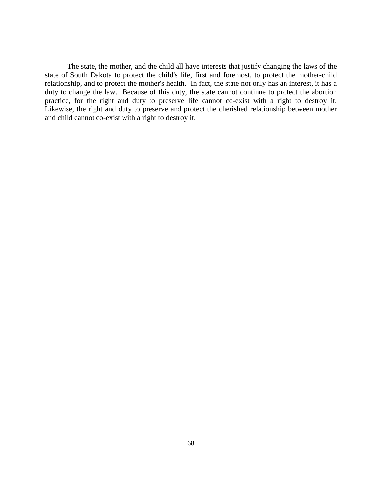The state, the mother, and the child all have interests that justify changing the laws of the state of South Dakota to protect the child's life, first and foremost, to protect the mother-child relationship, and to protect the mother's health. In fact, the state not only has an interest, it has a duty to change the law. Because of this duty, the state cannot continue to protect the abortion practice, for the right and duty to preserve life cannot co-exist with a right to destroy it. Likewise, the right and duty to preserve and protect the cherished relationship between mother and child cannot co-exist with a right to destroy it.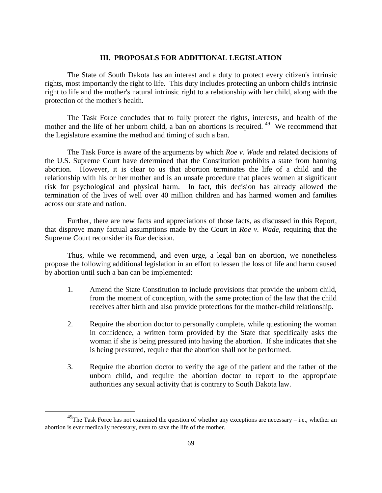#### **III. PROPOSALS FOR ADDITIONAL LEGISLATION**

 The State of South Dakota has an interest and a duty to protect every citizen's intrinsic rights, most importantly the right to life. This duty includes protecting an unborn child's intrinsic right to life and the mother's natural intrinsic right to a relationship with her child, along with the protection of the mother's health.

 The Task Force concludes that to fully protect the rights, interests, and health of the mother and the life of her unborn child, a ban on abortions is required. <sup>49</sup> We recommend that the Legislature examine the method and timing of such a ban.

 The Task Force is aware of the arguments by which *Roe v. Wade* and related decisions of the U.S. Supreme Court have determined that the Constitution prohibits a state from banning abortion. However, it is clear to us that abortion terminates the life of a child and the relationship with his or her mother and is an unsafe procedure that places women at significant risk for psychological and physical harm. In fact, this decision has already allowed the termination of the lives of well over 40 million children and has harmed women and families across our state and nation.

 Further, there are new facts and appreciations of those facts, as discussed in this Report, that disprove many factual assumptions made by the Court in *Roe v. Wade,* requiring that the Supreme Court reconsider its *Roe* decision.

 Thus, while we recommend, and even urge, a legal ban on abortion, we nonetheless propose the following additional legislation in an effort to lessen the loss of life and harm caused by abortion until such a ban can be implemented:

- 1. Amend the State Constitution to include provisions that provide the unborn child, from the moment of conception, with the same protection of the law that the child receives after birth and also provide protections for the mother-child relationship.
- 2. Require the abortion doctor to personally complete, while questioning the woman in confidence, a written form provided by the State that specifically asks the woman if she is being pressured into having the abortion. If she indicates that she is being pressured, require that the abortion shall not be performed.
- 3. Require the abortion doctor to verify the age of the patient and the father of the unborn child, and require the abortion doctor to report to the appropriate authorities any sexual activity that is contrary to South Dakota law.

 $^{49}$ The Task Force has not examined the question of whether any exceptions are necessary – i.e., whether an abortion is ever medically necessary, even to save the life of the mother.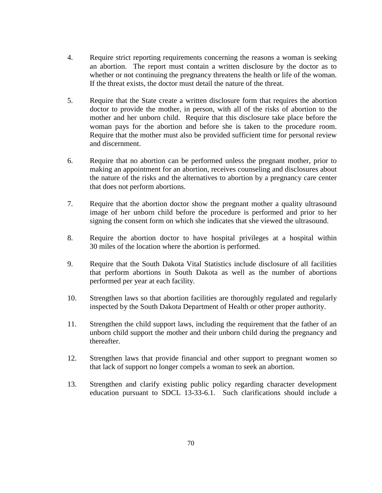- 4. Require strict reporting requirements concerning the reasons a woman is seeking an abortion. The report must contain a written disclosure by the doctor as to whether or not continuing the pregnancy threatens the health or life of the woman. If the threat exists, the doctor must detail the nature of the threat.
- 5. Require that the State create a written disclosure form that requires the abortion doctor to provide the mother, in person, with all of the risks of abortion to the mother and her unborn child. Require that this disclosure take place before the woman pays for the abortion and before she is taken to the procedure room. Require that the mother must also be provided sufficient time for personal review and discernment.
- 6. Require that no abortion can be performed unless the pregnant mother, prior to making an appointment for an abortion, receives counseling and disclosures about the nature of the risks and the alternatives to abortion by a pregnancy care center that does not perform abortions.
- 7. Require that the abortion doctor show the pregnant mother a quality ultrasound image of her unborn child before the procedure is performed and prior to her signing the consent form on which she indicates that she viewed the ultrasound.
- 8. Require the abortion doctor to have hospital privileges at a hospital within 30 miles of the location where the abortion is performed.
- 9. Require that the South Dakota Vital Statistics include disclosure of all facilities that perform abortions in South Dakota as well as the number of abortions performed per year at each facility.
- 10. Strengthen laws so that abortion facilities are thoroughly regulated and regularly inspected by the South Dakota Department of Health or other proper authority.
- 11. Strengthen the child support laws, including the requirement that the father of an unborn child support the mother and their unborn child during the pregnancy and thereafter.
- 12. Strengthen laws that provide financial and other support to pregnant women so that lack of support no longer compels a woman to seek an abortion.
- 13. Strengthen and clarify existing public policy regarding character development education pursuant to SDCL 13-33-6.1. Such clarifications should include a